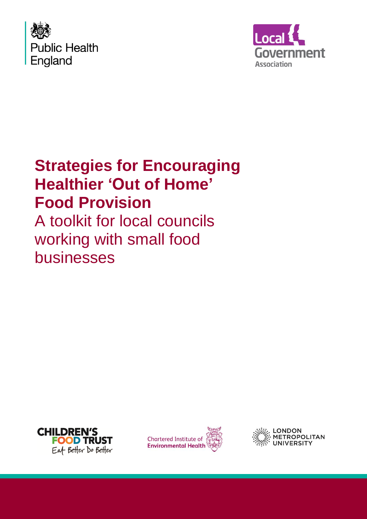



# **Strategies for Encouraging Healthier 'Out of Home' Food Provision**

A toolkit for local councils working with small food businesses





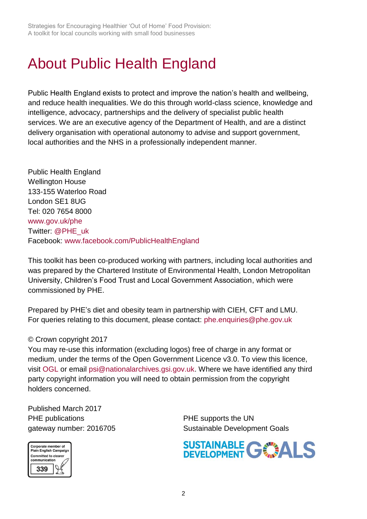Strategies for Encouraging Healthier 'Out of Home' Food Provision: A toolkit for local councils working with small food businesses

# <span id="page-1-0"></span>About Public Health England

Public Health England exists to protect and improve the nation's health and wellbeing, and reduce health inequalities. We do this through world-class science, knowledge and intelligence, advocacy, partnerships and the delivery of specialist public health services. We are an executive agency of the Department of Health, and are a distinct delivery organisation with operational autonomy to advise and support government, local authorities and the NHS in a professionally independent manner.

Public Health England Wellington House 133-155 Waterloo Road London SE1 8UG Tel: 020 7654 8000 [www.gov.uk/phe](http://www.gov.uk/phe) Twitter: [@PHE\\_uk](https://twitter.com/PHE_uk) Facebook: [www.facebook.com/PublicHealthEngland](http://www.facebook.com/PublicHealthEngland)

This toolkit has been co-produced working with partners, including local authorities and was prepared by the Chartered Institute of Environmental Health, London Metropolitan University, Children's Food Trust and Local Government Association, which were commissioned by PHE.

Prepared by PHE's diet and obesity team in partnership with CIEH, CFT and LMU. For queries relating to this document, please contact: [phe.enquiries@phe.gov.uk](mailto:phe.enquiries@phe.gov.uk)

#### © Crown copyright 2017

You may re-use this information (excluding logos) free of charge in any format or medium, under the terms of the Open Government Licence v3.0. To view this licence, visit [OGL](https://www.nationalarchives.gov.uk/doc/open-government-licence/version/3/) or email [psi@nationalarchives.gsi.gov.uk.](mailto:psi@nationalarchives.gsi.gov.uk) Where we have identified any third party copyright information you will need to obtain permission from the copyright holders concerned.

Published March 2017 PHE publications **PHE** supports the UN



gateway number: 2016705 Sustainable Development Goals

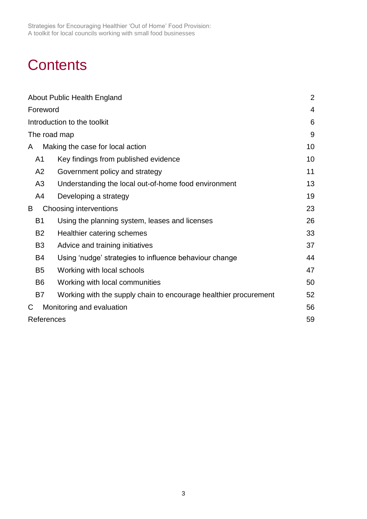Strategies for Encouraging Healthier 'Out of Home' Food Provision: A toolkit for local councils working with small food businesses

# **Contents**

|                | About Public Health England                                      | $\overline{2}$ |
|----------------|------------------------------------------------------------------|----------------|
| Foreword       |                                                                  | $\overline{4}$ |
|                | Introduction to the toolkit                                      | 6              |
| The road map   |                                                                  | 9              |
| A              | Making the case for local action                                 | 10             |
| A1             | Key findings from published evidence                             | 10             |
| A2             | Government policy and strategy                                   | 11             |
| A3             | Understanding the local out-of-home food environment             | 13             |
| A4             | Developing a strategy                                            | 19             |
| B              | Choosing interventions                                           | 23             |
| <b>B1</b>      | Using the planning system, leases and licenses                   | 26             |
| <b>B2</b>      | Healthier catering schemes                                       | 33             |
| B <sub>3</sub> | Advice and training initiatives                                  | 37             |
| B4             | Using 'nudge' strategies to influence behaviour change           | 44             |
| B <sub>5</sub> | Working with local schools                                       | 47             |
| B <sub>6</sub> | Working with local communities                                   | 50             |
| <b>B7</b>      | Working with the supply chain to encourage healthier procurement | 52             |
| С              | Monitoring and evaluation                                        | 56             |
| References     |                                                                  | 59             |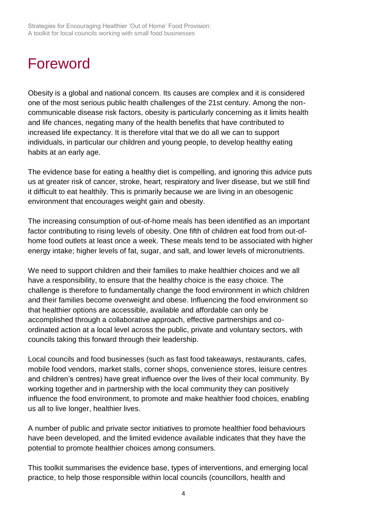# <span id="page-3-0"></span>Foreword

Obesity is a global and national concern. Its causes are complex and it is considered one of the most serious public health challenges of the 21st century. Among the noncommunicable disease risk factors, obesity is particularly concerning as it limits health and life chances, negating many of the health benefits that have contributed to increased life expectancy. It is therefore vital that we do all we can to support individuals, in particular our children and young people, to develop healthy eating habits at an early age.

The evidence base for eating a healthy diet is compelling, and ignoring this advice puts us at greater risk of cancer, stroke, heart, respiratory and liver disease, but we still find it difficult to eat healthily. This is primarily because we are living in an obesogenic environment that encourages weight gain and obesity.

The increasing consumption of out-of-home meals has been identified as an important factor contributing to rising levels of obesity. One fifth of children eat food from out-ofhome food outlets at least once a week. These meals tend to be associated with higher energy intake; higher levels of fat, sugar, and salt, and lower levels of micronutrients.

We need to support children and their families to make healthier choices and we all have a responsibility, to ensure that the healthy choice is the easy choice. The challenge is therefore to fundamentally change the food environment in which children and their families become overweight and obese. Influencing the food environment so that healthier options are accessible, available and affordable can only be accomplished through a collaborative approach, effective partnerships and coordinated action at a local level across the public, private and voluntary sectors, with councils taking this forward through their leadership.

Local councils and food businesses (such as fast food takeaways, restaurants, cafes, mobile food vendors, market stalls, corner shops, convenience stores, leisure centres and children's centres) have great influence over the lives of their local community. By working together and in partnership with the local community they can positively influence the food environment, to promote and make healthier food choices, enabling us all to live longer, healthier lives.

A number of public and private sector initiatives to promote healthier food behaviours have been developed, and the limited evidence available indicates that they have the potential to promote healthier choices among consumers.

This toolkit summarises the evidence base, types of interventions, and emerging local practice, to help those responsible within local councils (councillors, health and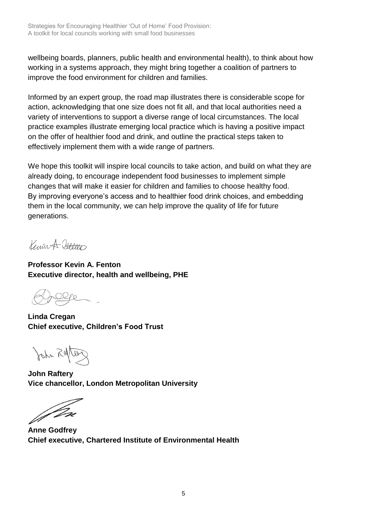wellbeing boards, planners, public health and environmental health), to think about how working in a systems approach, they might bring together a coalition of partners to improve the food environment for children and families.

Informed by an expert group, the road map illustrates there is considerable scope for action, acknowledging that one size does not fit all, and that local authorities need a variety of interventions to support a diverse range of local circumstances. The local practice examples illustrate emerging local practice which is having a positive impact on the offer of healthier food and drink, and outline the practical steps taken to effectively implement them with a wide range of partners.

We hope this toolkit will inspire local councils to take action, and build on what they are already doing, to encourage independent food businesses to implement simple changes that will make it easier for children and families to choose healthy food. By improving everyone's access and to healthier food drink choices, and embedding them in the local community, we can help improve the quality of life for future generations.

Keiner A. Jallono

**Professor Kevin A. Fenton Executive director, health and wellbeing, PHE**

**Linda Cregan Chief executive, Children's Food Trust**

John Ratter

**John Raftery Vice chancellor, London Metropolitan University** 

*Jm* 

**Anne Godfrey Chief executive, Chartered Institute of Environmental Health**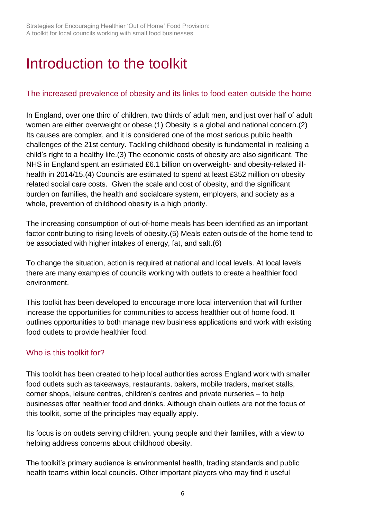# <span id="page-5-0"></span>Introduction to the toolkit

### The increased prevalence of obesity and its links to food eaten outside the home

In England, over one third of children, two thirds of adult men, and just over half of adult women are either overweight or obese.(1) Obesity is a global and national concern.(2) Its causes are complex, and it is considered one of the most serious public health challenges of the 21st century. Tackling childhood obesity is fundamental in realising a child's right to a healthy life.(3) The economic costs of obesity are also significant. The NHS in England spent an estimated £6.1 billion on overweight- and obesity-related illhealth in 2014/15.(4) Councils are estimated to spend at least £352 million on obesity related social care costs. Given the scale and cost of obesity, and the significant burden on families, the health and socialcare system, employers, and society as a whole, prevention of childhood obesity is a high priority.

The increasing consumption of out-of-home meals has been identified as an important factor contributing to rising levels of obesity.(5) Meals eaten outside of the home tend to be associated with higher intakes of energy, fat, and salt.(6)

To change the situation, action is required at national and local levels. At local levels there are many examples of councils working with outlets to create a healthier food environment.

This toolkit has been developed to encourage more local intervention that will further increase the opportunities for communities to access healthier out of home food. It outlines opportunities to both manage new business applications and work with existing food outlets to provide healthier food.

## Who is this toolkit for?

This toolkit has been created to help local authorities across England work with smaller food outlets such as takeaways, restaurants, bakers, mobile traders, market stalls, corner shops, leisure centres, children's centres and private nurseries – to help businesses offer healthier food and drinks. Although chain outlets are not the focus of this toolkit, some of the principles may equally apply.

Its focus is on outlets serving children, young people and their families, with a view to helping address concerns about childhood obesity.

The toolkit's primary audience is environmental health, trading standards and public health teams within local councils. Other important players who may find it useful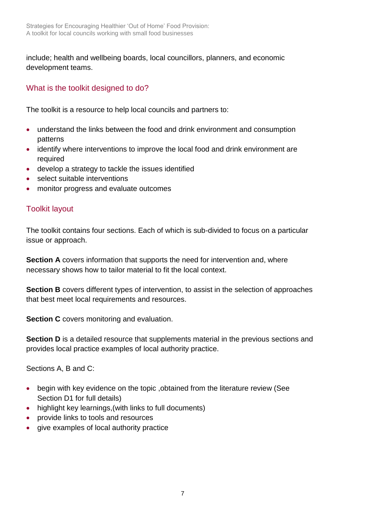include; health and wellbeing boards, local councillors, planners, and economic development teams.

## What is the toolkit designed to do?

The toolkit is a resource to help local councils and partners to:

- understand the links between the food and drink environment and consumption patterns
- identify where interventions to improve the local food and drink environment are required
- develop a strategy to tackle the issues identified
- select suitable interventions
- monitor progress and evaluate outcomes

## Toolkit layout

The toolkit contains four sections. Each of which is sub-divided to focus on a particular issue or approach.

**Section A** covers information that supports the need for intervention and, where necessary shows how to tailor material to fit the local context.

**Section B** covers different types of intervention, to assist in the selection of approaches that best meet local requirements and resources.

**Section C** covers monitoring and evaluation.

**Section D** is a detailed resource that supplements material in the previous sections and provides local practice examples of local authority practice.

Sections A, B and C:

- begin with key evidence on the topic ,obtained from the literature review (See Section D1 for full details)
- highlight key learnings, (with links to full documents)
- provide links to tools and resources
- give examples of local authority practice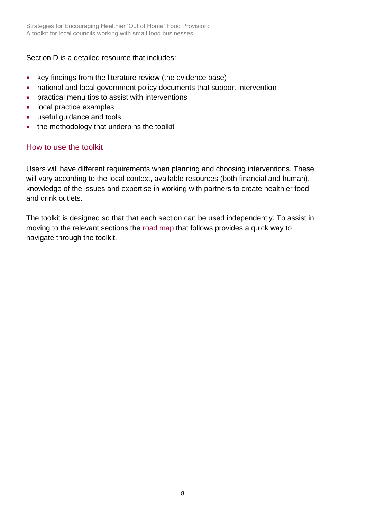Strategies for Encouraging Healthier 'Out of Home' Food Provision: A toolkit for local councils working with small food businesses

Section D is a detailed resource that includes:

- key findings from the literature review (the evidence base)
- national and local government policy documents that support intervention
- practical menu tips to assist with interventions
- local practice examples
- useful guidance and tools
- the methodology that underpins the toolkit

#### How to use the toolkit

Users will have different requirements when planning and choosing interventions. These will vary according to the local context, available resources (both financial and human), knowledge of the issues and expertise in working with partners to create healthier food and drink outlets.

The toolkit is designed so that that each section can be used independently. To assist in moving to the relevant sections the [road map](#page-8-0) that follows provides a quick way to navigate through the toolkit.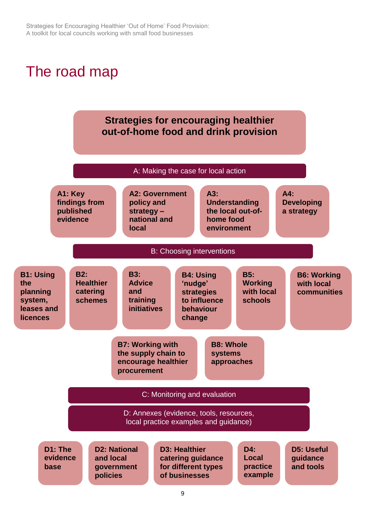# <span id="page-8-0"></span>The road map

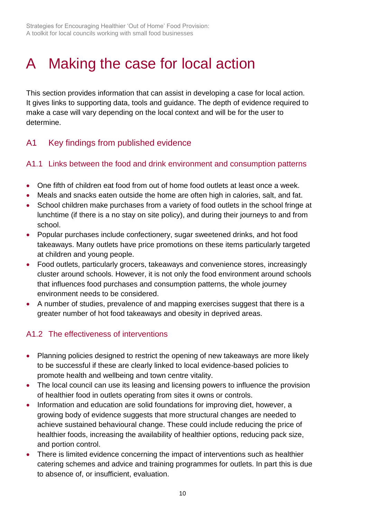# <span id="page-9-0"></span>A Making the case for local action

This section provides information that can assist in developing a case for local action. It gives links to supporting data, tools and guidance. The depth of evidence required to make a case will vary depending on the local context and will be for the user to determine.

# <span id="page-9-1"></span>A1 Key findings from published evidence

## A1.1 Links between the food and drink environment and consumption patterns

- One fifth of children eat food from out of home food outlets at least once a week.
- Meals and snacks eaten outside the home are often high in calories, salt, and fat.
- School children make purchases from a variety of food outlets in the school fringe at lunchtime (if there is a no stay on site policy), and during their journeys to and from school.
- Popular purchases include confectionery, sugar sweetened drinks, and hot food takeaways. Many outlets have price promotions on these items particularly targeted at children and young people.
- Food outlets, particularly grocers, takeaways and convenience stores, increasingly cluster around schools. However, it is not only the food environment around schools that influences food purchases and consumption patterns, the whole journey environment needs to be considered.
- A number of studies, prevalence of and mapping exercises suggest that there is a greater number of hot food takeaways and obesity in deprived areas.

## A1.2 The effectiveness of interventions

- Planning policies designed to restrict the opening of new takeaways are more likely to be successful if these are clearly linked to local evidence-based policies to promote health and wellbeing and town centre vitality.
- The local council can use its leasing and licensing powers to influence the provision of healthier food in outlets operating from sites it owns or controls.
- Information and education are solid foundations for improving diet, however, a growing body of evidence suggests that more structural changes are needed to achieve sustained behavioural change. These could include reducing the price of healthier foods, increasing the availability of healthier options, reducing pack size, and portion control.
- There is limited evidence concerning the impact of interventions such as healthier catering schemes and advice and training programmes for outlets. In part this is due to absence of, or insufficient, evaluation.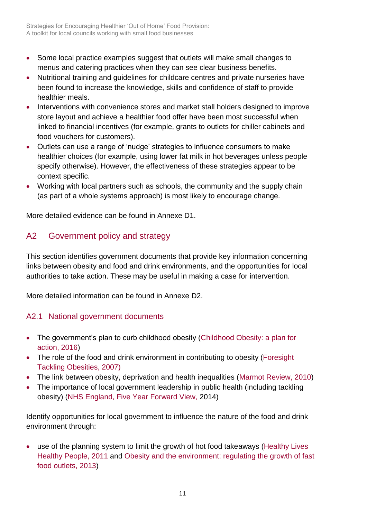- Some local practice examples suggest that outlets will make small changes to menus and catering practices when they can see clear business benefits.
- Nutritional training and guidelines for childcare centres and private nurseries have been found to increase the knowledge, skills and confidence of staff to provide healthier meals.
- Interventions with convenience stores and market stall holders designed to improve store layout and achieve a healthier food offer have been most successful when linked to financial incentives (for example, grants to outlets for chiller cabinets and food vouchers for customers).
- Outlets can use a range of 'nudge' strategies to influence consumers to make healthier choices (for example, using lower fat milk in hot beverages unless people specify otherwise). However, the effectiveness of these strategies appear to be context specific.
- Working with local partners such as schools, the community and the supply chain (as part of a whole systems approach) is most likely to encourage change.

More detailed evidence can be found in Annexe D1.

# <span id="page-10-0"></span>A2 Government policy and strategy

This section identifies government documents that provide key information concerning links between obesity and food and drink environments, and the opportunities for local authorities to take action. These may be useful in making a case for intervention.

More detailed information can be found in Annexe D2.

## A2.1 National government documents

- The government's plan to curb childhood obesity (Childhood Obesity: a plan for [action, 2016\)](https://www.gov.uk/government/publications/childhood-obesity-a-plan-for-action)
- The role of the food and drink environment in contributing to obesity (Foresight [Tackling Obesities, 2007\)](https://www.gov.uk/government/publications/reducing-obesity-future-choices)
- The link between obesity, deprivation and health inequalities [\(Marmot Review, 2010\)](https://www.gov.uk/dfid-research-outputs/fair-society-healthy-lives-the-marmot-review-strategic-review-of-health-inequalities-in-england-post-2010)
- The importance of local government leadership in public health (including tackling obesity) [\(NHS England, Five Year Forward View,](https://www.england.nhs.uk/ourwork/futurenhs/) 2014)

Identify opportunities for local government to influence the nature of the food and drink environment through:

 use of the planning system to limit the growth of hot food takeaways [\(Healthy Lives](https://www.gov.uk/government/publications/healthy-lives-healthy-people-our-strategy-for-public-health-in-england)  [Healthy People, 2011](https://www.gov.uk/government/publications/healthy-lives-healthy-people-our-strategy-for-public-health-in-england) and [Obesity and the environment: regulating the growth of fast](https://www.gov.uk/government/publications/obesity-and-the-environment-briefing-regulating-the-growth-of-fast-food-outlets)  [food outlets, 2013\)](https://www.gov.uk/government/publications/obesity-and-the-environment-briefing-regulating-the-growth-of-fast-food-outlets)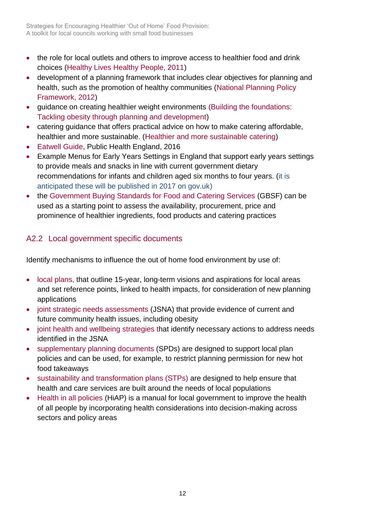- the role for local outlets and others to improve access to healthier food and drink choices [\(Healthy Lives Healthy People, 2011\)](https://www.gov.uk/government/publications/healthy-lives-healthy-people-our-strategy-for-public-health-in-england)
- development of a planning framework that includes clear objectives for planning and health, such as the promotion of healthy communities [\(National Planning Policy](https://www.gov.uk/government/publications/national-planning-policy-framework--2)  [Framework, 2012\)](https://www.gov.uk/government/publications/national-planning-policy-framework--2)
- [guidance on creating healthier weight environments](http://www.local.gov.uk/documents/10180/7632544/L16-6+building+the+foundations+-+tackling+obesity_v05.pdf/a5cc1a11-57b2-46e3-bb30-2b2a01635d1a) [\(Building the foundations:](http://www.local.gov.uk/documents/10180/7632544/L16-6+building+the+foundations+-+tackling+obesity_v05.pdf/a5cc1a11-57b2-46e3-bb30-2b2a01635d1a)  [Tackling obesity through planning and development\)](http://www.local.gov.uk/documents/10180/7632544/L16-6+building+the+foundations+-+tackling+obesity_v05.pdf/a5cc1a11-57b2-46e3-bb30-2b2a01635d1a)
- catering guidance that offers practical advice on how to make catering affordable, healthier and more sustainable. [\(Healthier and more sustainable catering\)](https://www.gov.uk/government/publications/healthier-and-more-sustainable-catering-a-toolkit-for-serving-food-to-adults)
- [Eatwell Guide,](https://www.gov.uk/government/uploads/system/uploads/attachment_data/file/528193/Eatwell_guide_colour.pdf) Public Health England, 2016
- Example Menus for Early Years Settings in England that support early years settings to provide meals and snacks in line with current government dietary recommendations for infants and children aged six months to four years. (it is anticipated these will be published in 2017 on gov.uk)
- the [Government Buying Standards for Food and Catering Services](https://www.gov.uk/government/publications/sustainable-procurement-the-gbs-for-food-and-catering-services) (GBSF) can be used as a starting point to assess the availability, procurement, price and prominence of healthier ingredients, food products and catering practices

## A2.2 Local government specific documents

Identify mechanisms to influence the out of home food environment by use of:

- [local plans,](http://planningguidance.communities.gov.uk/blog/guidance/local-plans/) that outline 15-year, long-term visions and aspirations for local areas and set reference points, linked to health impacts, for consideration of new planning applications
- [joint strategic needs assessments \(](https://www.gov.uk/government/publications/jsnas-and-jhws-statutory-guidance)JSNA) that provide evidence of current and future community health issues, including obesity
- [joint health and wellbeing strategies t](https://www.gov.uk/government/publications/jsnas-and-jhws-statutory-guidance)hat identify necessary actions to address needs identified in the JSNA
- [supplementary planning documents](http://planningguidance.communities.gov.uk/blog/guidance/local-plans/adoption-monitoring-and-supplementary-planning-documents/) (SPDs) are designed to support local plan policies and can be used, for example, to restrict planning permission for new hot food takeaways
- [sustainability and transformation plans \(STPs\)](https://www.england.nhs.uk/ourwork/futurenhs/deliver-forward-view/stp/) are designed to help ensure that health and care services are built around the needs of local populations
- [Health in all policies](https://www.gov.uk/government/publications/local-wellbeing-local-growth-adopting-health-in-all-policies) (HiAP) is a manual for local government to improve the health of all people by incorporating health considerations into decision-making across sectors and policy areas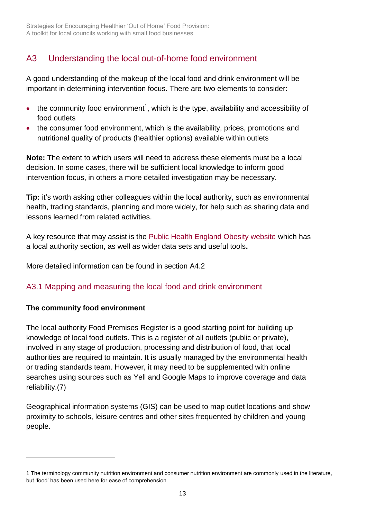# <span id="page-12-0"></span>A3 Understanding the local out-of-home food environment

A good understanding of the makeup of the local food and drink environment will be important in determining intervention focus. There are two elements to consider:

- $\bullet$  the community food environment<sup>1</sup>, which is the type, availability and accessibility of food outlets
- the consumer food environment, which is the availability, prices, promotions and nutritional quality of products (healthier options) available within outlets

**Note:** The extent to which users will need to address these elements must be a local decision. In some cases, there will be sufficient local knowledge to inform good intervention focus, in others a more detailed investigation may be necessary.

**Tip:** it's worth asking other colleagues within the local authority, such as environmental health, trading standards, planning and more widely, for help such as sharing data and lessons learned from related activities.

A key resource that may assist is the [Public Health England Obesity website](https://www.noo.org.uk/) which has a local authority section, as well as wider data sets and useful tools**.**

More detailed information can be found in section A4.2

## A3.1 Mapping and measuring the local food and drink environment

## **The community food environment**

l

The local authority Food Premises Register is a good starting point for building up knowledge of local food outlets. This is a register of all outlets (public or private), involved in any stage of production, processing and distribution of food, that local authorities are required to maintain. It is usually managed by the environmental health or trading standards team. However, it may need to be supplemented with online searches using sources such as Yell and Google Maps to improve coverage and data reliability.(7)

Geographical information systems (GIS) can be used to map outlet locations and show proximity to schools, leisure centres and other sites frequented by children and young people.

<sup>1</sup> The terminology community nutrition environment and consumer nutrition environment are commonly used in the literature, but 'food' has been used here for ease of comprehension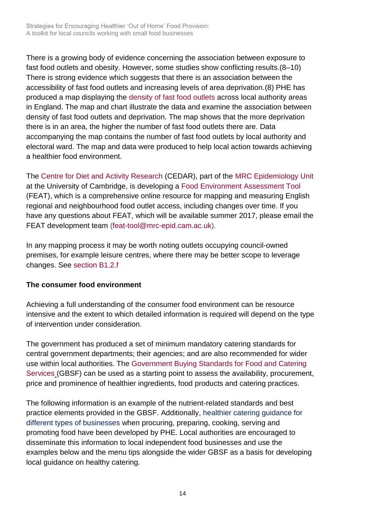There is a growing body of evidence concerning the association between exposure to fast food outlets and obesity. However, some studies show conflicting results.(8–10) There is strong evidence which suggests that there is an association between the accessibility of fast food outlets and increasing levels of area deprivation.(8) PHE has produced a map displaying the [density of fast food outlets](http://www.noo.org.uk/visualisation) across local authority areas in England. The map and chart illustrate the data and examine the association between density of fast food outlets and deprivation. The map shows that the more deprivation there is in an area, the higher the number of fast food outlets there are. Data accompanying the map contains the number of fast food outlets by local authority and electoral ward. The map and data were produced to help local action towards achieving a healthier food environment.

The [Centre for Diet and Activity Research](http://www.cedar.iph.cam.ac.uk/) (CEDAR), part of the [MRC Epidemiology Unit](http://www.mrc-epid.cam.ac.uk/) at the University of Cambridge, is developing a [Food Environment Assessment Tool](http://www.feat-tool.org.uk/) (FEAT), which is a comprehensive online resource for mapping and measuring English regional and neighbourhood food outlet access, including changes over time. If you have any questions about FEAT, which will be available summer 2017, please email the FEAT development team [\(feat-tool@mrc-epid.cam.ac.uk\)](mailto:feat-tool@mrc-epid.cam.ac.uk).

In any mapping process it may be worth noting outlets occupying council-owned premises, for example leisure centres, where there may be better scope to leverage changes. See [section B1.2.](#page-24-0)f

#### **The consumer food environment**

Achieving a full understanding of the consumer food environment can be resource intensive and the extent to which detailed information is required will depend on the type of intervention under consideration.

The government has produced a set of minimum mandatory catering standards for central government departments; their agencies; and are also recommended for wider use within local authorities. The [Government Buying Standards for Food and Catering](https://www.gov.uk/government/publications/sustainable-procurement-the-gbs-for-food-and-catering-services)  [Services](https://www.gov.uk/government/publications/sustainable-procurement-the-gbs-for-food-and-catering-services) (GBSF) can be used as a starting point to assess the availability, procurement, price and prominence of healthier ingredients, food products and catering practices.

The following information is an example of the nutrient-related standards and best practice elements provided in the GBSF. Additionally, healthier catering guidance for different types of businesses when procuring, preparing, cooking, serving and promoting food have been developed by PHE. Local authorities are encouraged to disseminate this information to local independent food businesses and use the examples below and the menu tips alongside the wider GBSF as a basis for developing local guidance on healthy catering.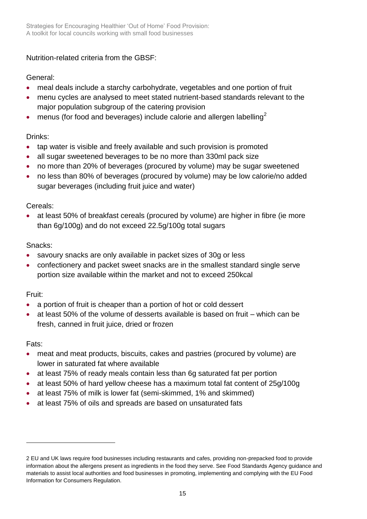Nutrition-related criteria from the GBSF:

### General:

- meal deals include a starchy carbohydrate, vegetables and one portion of fruit
- menu cycles are analysed to meet stated nutrient-based standards relevant to the major population subgroup of the catering provision
- menus (for food and beverages) include calorie and allergen labelling<sup>2</sup>

## Drinks:

- tap water is visible and freely available and such provision is promoted
- all sugar sweetened beverages to be no more than 330ml pack size
- no more than 20% of beverages (procured by volume) may be sugar sweetened
- no less than 80% of beverages (procured by volume) may be low calorie/no added sugar beverages (including fruit juice and water)

## Cereals:

 at least 50% of breakfast cereals (procured by volume) are higher in fibre (ie more than 6g/100g) and do not exceed 22.5g/100g total sugars

## Snacks:

- savoury snacks are only available in packet sizes of 30g or less
- confectionery and packet sweet snacks are in the smallest standard single serve portion size available within the market and not to exceed 250kcal

## Fruit:

- a portion of fruit is cheaper than a portion of hot or cold dessert
- at least 50% of the volume of desserts available is based on fruit which can be fresh, canned in fruit juice, dried or frozen

## Fats:

l

- meat and meat products, biscuits, cakes and pastries (procured by volume) are lower in saturated fat where available
- at least 75% of ready meals contain less than 6g saturated fat per portion
- at least 50% of hard yellow cheese has a maximum total fat content of 25g/100g
- at least 75% of milk is lower fat (semi-skimmed, 1% and skimmed)
- at least 75% of oils and spreads are based on unsaturated fats

<sup>2</sup> [EU](http://eurlex.europa.eu/LexUriServ/LexUriServ.do?uri=OJ:L:2011:304:0018:0063:EN:PDF) an[d UK](http://www.legislation.gov.uk/uksi/2014/1855/contents/made) laws require food businesses including restaurants and cafes, providing non-prepacked food to provide information about the allergens present as ingredients in the food they serve. See [Food Standards Agency guidance and](https://www.food.gov.uk/business-industry/allergy-guide/allergen-resources)  [materials](https://www.food.gov.uk/business-industry/allergy-guide/allergen-resources) to assist local authorities and food businesses in promoting, implementing and complying with the EU Food Information for Consumers Regulation.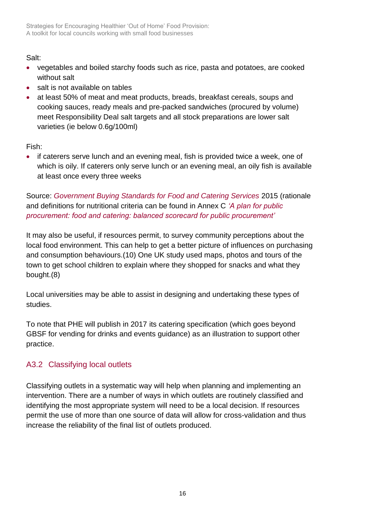## Salt:

- vegetables and boiled starchy foods such as rice, pasta and potatoes, are cooked without salt
- salt is not available on tables
- at least 50% of meat and meat products, breads, breakfast cereals, soups and cooking sauces, ready meals and pre-packed sandwiches (procured by volume) meet Responsibility Deal salt targets and all stock preparations are lower salt varieties (ie below 0.6g/100ml)

Fish:

• if caterers serve lunch and an evening meal, fish is provided twice a week, one of which is oily. If caterers only serve lunch or an evening meal, an oily fish is available at least once every three weeks

Source: *[Government Buying Standards for Food and Catering Services](https://www.gov.uk/government/publications/sustainable-procurement-the-gbs-for-food-and-catering-services)* 2015 (rationale and definitions for nutritional criteria can be found in Annex C *['A plan for public](https://www.gov.uk/government/publications/a-plan-for-public-procurement-food-and-catering-the-balanced-scorecard)  [procurement: food and catering: balanced scorecard for public procurement'](https://www.gov.uk/government/publications/a-plan-for-public-procurement-food-and-catering-the-balanced-scorecard)*

It may also be useful, if resources permit, to survey community perceptions about the local food environment. This can help to get a better picture of influences on purchasing and consumption behaviours.(10) One UK study used maps, photos and tours of the town to get school children to explain where they shopped for snacks and what they bought.(8)

Local universities may be able to assist in designing and undertaking these types of studies.

To note that PHE will publish in 2017 its catering specification (which goes beyond GBSF for vending for drinks and events guidance) as an illustration to support other practice.

## A3.2 Classifying local outlets

Classifying outlets in a systematic way will help when planning and implementing an intervention. There are a number of ways in which outlets are routinely classified and identifying the most appropriate system will need to be a local decision. If resources permit the use of more than one source of data will allow for cross-validation and thus increase the reliability of the final list of outlets produced.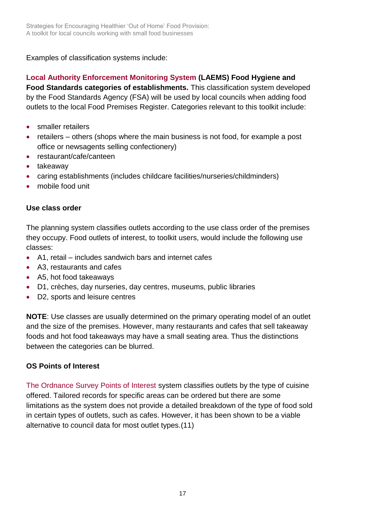Examples of classification systems include:

**[Local Authority Enforcement Monitoring System](https://www.food.gov.uk/enforcement/monitoring/laems) (LAEMS) Food Hygiene and** 

**Food Standards categories of establishments.** This classification system developed by the Food Standards Agency (FSA) will be used by local councils when adding food outlets to the local Food Premises Register. Categories relevant to this toolkit include:

- smaller retailers
- retailers others (shops where the main business is not food, for example a post office or newsagents selling confectionery)
- restaurant/cafe/canteen
- takeaway
- caring establishments (includes childcare facilities/nurseries/childminders)
- mobile food unit

#### **Use class order**

The planning system classifies outlets according to the use class order of the premises they occupy. Food outlets of interest, to toolkit users, would include the following use classes:

- A1, retail includes sandwich bars and internet cafes
- A3, restaurants and cafes
- A5, hot food takeaways
- D1, crèches, day nurseries, day centres, museums, public libraries
- D2, sports and leisure centres

**NOTE**: Use classes are usually determined on the primary operating model of an outlet and the size of the premises. However, many restaurants and cafes that sell takeaway foods and hot food takeaways may have a small seating area. Thus the distinctions between the categories can be blurred.

## **OS Points of Interest**

[The Ordnance Survey Points of Interest](https://www.ordnancesurvey.co.uk/business-and-government/products/points-of-interest.html) system classifies outlets by the type of cuisine offered. Tailored records for specific areas can be ordered but there are some limitations as the system does not provide a detailed breakdown of the type of food sold in certain types of outlets, such as cafes. However, it has been shown to be a viable alternative to council data for most outlet types.(11)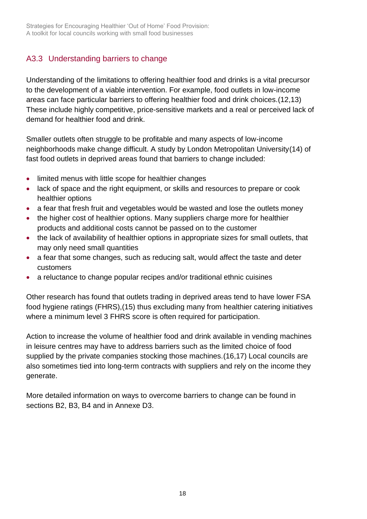## A3.3 Understanding barriers to change

Understanding of the limitations to offering healthier food and drinks is a vital precursor to the development of a viable intervention. For example, food outlets in low-income areas can face particular barriers to offering healthier food and drink choices.(12,13) These include highly competitive, price-sensitive markets and a real or perceived lack of demand for healthier food and drink.

Smaller outlets often struggle to be profitable and many aspects of low-income neighborhoods make change difficult. A study by London Metropolitan University(14) of fast food outlets in deprived areas found that barriers to change included:

- limited menus with little scope for healthier changes
- lack of space and the right equipment, or skills and resources to prepare or cook healthier options
- a fear that fresh fruit and vegetables would be wasted and lose the outlets money
- the higher cost of healthier options. Many suppliers charge more for healthier products and additional costs cannot be passed on to the customer
- the lack of availability of healthier options in appropriate sizes for small outlets, that may only need small quantities
- a fear that some changes, such as reducing salt, would affect the taste and deter customers
- a reluctance to change popular recipes and/or traditional ethnic cuisines

Other research has found that outlets trading in deprived areas tend to have lower FSA food hygiene ratings (FHRS),(15) thus excluding many from healthier catering initiatives where a minimum level 3 FHRS score is often required for participation.

Action to increase the volume of healthier food and drink available in vending machines in leisure centres may have to address barriers such as the limited choice of food supplied by the private companies stocking those machines.(16,17) Local councils are also sometimes tied into long-term contracts with suppliers and rely on the income they generate.

More detailed information on ways to overcome barriers to change can be found in sections B2, [B3,](#page-36-0) [B4](#page-42-0) and in Annexe [D3.](file:///E:/LMU%20various/PHE%20toolkit/PHE%20Toolkit/Toolkit%20development/Content/D3.Menu%20tips)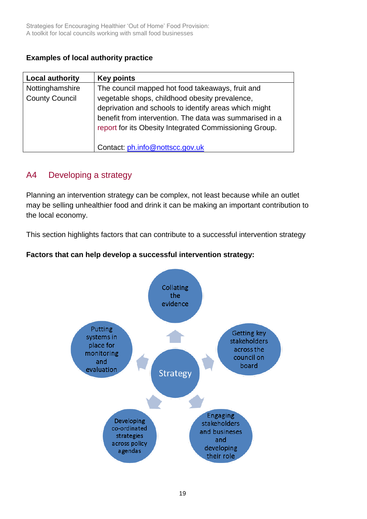## **Examples of local authority practice**

| <b>Local authority</b>                   | <b>Key points</b>                                                                                                                                                                                                                                                                |
|------------------------------------------|----------------------------------------------------------------------------------------------------------------------------------------------------------------------------------------------------------------------------------------------------------------------------------|
| Nottinghamshire<br><b>County Council</b> | The council mapped hot food takeaways, fruit and<br>vegetable shops, childhood obesity prevalence,<br>deprivation and schools to identify areas which might<br>benefit from intervention. The data was summarised in a<br>report for its Obesity Integrated Commissioning Group. |
|                                          | Contact: ph.info@nottscc.gov.uk                                                                                                                                                                                                                                                  |

## <span id="page-18-0"></span>A4 Developing a strategy

Planning an intervention strategy can be complex, not least because while an outlet may be selling unhealthier food and drink it can be making an important contribution to the local economy.

This section highlights factors that can contribute to a successful intervention strategy

## **Factors that can help develop a successful intervention strategy:**

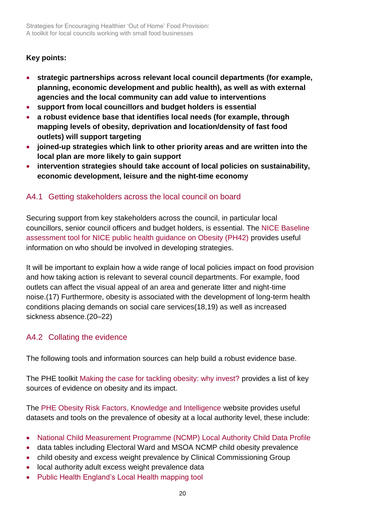## **Key points:**

- **strategic partnerships across relevant local council departments (for example, planning, economic development and public health), as well as with external agencies and the local community can add value to interventions**
- **support from local councillors and budget holders is essential**
- **a robust evidence base that identifies local needs (for example, through mapping levels of obesity, deprivation and location/density of fast food outlets) will support targeting**
- **joined-up strategies which link to other priority areas and are written into the local plan are more likely to gain support**
- **intervention strategies should take account of local policies on sustainability, economic development, leisure and the night-time economy**

## A4.1 Getting stakeholders across the local council on board

Securing support from key stakeholders across the council, in particular local councillors, senior council officers and budget holders, is essential. The [NICE Baseline](https://www.nice.org.uk/guidance/ph42/resources)  [assessment tool for NICE public health guidance on Obesity \(PH42\)](https://www.nice.org.uk/guidance/ph42/resources) provides useful information on who should be involved in developing strategies.

It will be important to explain how a wide range of local policies impact on food provision and how taking action is relevant to several council departments. For example, food outlets can affect the visual appeal of an area and generate litter and night-time noise.(17) Furthermore, obesity is associated with the development of long-term health conditions placing demands on social care services(18,19) as well as increased sickness absence.(20–22)

## A4.2 Collating the evidence

The following tools and information sources can help build a robust evidence base.

The PHE toolkit [Making the case for tackling obesity: why invest?](https://www.noo.org.uk/slide_sets) provides a list of key sources of evidence on obesity and its impact.

The [PHE Obesity Risk Factors, Knowledge and Intelligence w](http://www.noo.org.uk/visualisation)ebsite provides useful datasets and tools on the prevalence of obesity at a local authority level, these include:

- [National Child Measurement Programme \(NCMP\) Local Authority Child Data Profile](http://fingertips.phe.org.uk/profile/national-child-measurement-programme)
- data tables including Electoral Ward and MSOA NCMP child obesity prevalence
- child obesity and excess weight prevalence by Clinical Commissioning Group
- local authority adult excess weight prevalence data
- [Public Health England's Local Health mapping tool](http://www.localhealth.org.uk/#l=en;v=map4)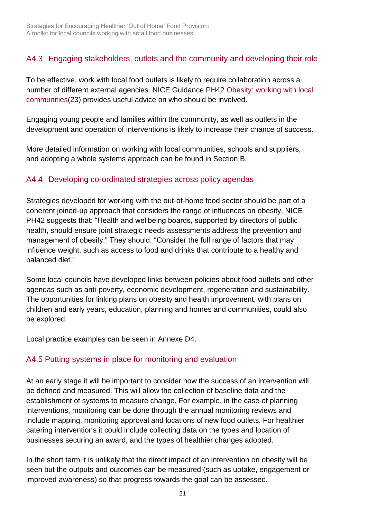## A4.3 Engaging stakeholders, outlets and the community and developing their role

To be effective, work with local food outlets is likely to require collaboration across a number of different external agencies. NICE Guidance PH42 [Obesity: working with local](https://www.nice.org.uk/guidance/ph42)  [communities\(](https://www.nice.org.uk/guidance/ph42)23) provides useful advice on who should be involved.

Engaging young people and families within the community, as well as outlets in the development and operation of interventions is likely to increase their chance of success.

More detailed information on working with local communities, schools and suppliers, and adopting a whole systems approach can be found in Section B.

## A4.4 Developing co-ordinated strategies across policy agendas

Strategies developed for working with the out-of-home food sector should be part of a coherent joined-up approach that considers the range of influences on obesity. NICE PH42 suggests that: "Health and wellbeing boards, supported by directors of public health, should ensure joint strategic needs assessments address the prevention and management of obesity." They should: "Consider the full range of factors that may influence weight, such as access to food and drinks that contribute to a healthy and balanced diet."

Some local councils have developed links between policies about food outlets and other agendas such as anti-poverty, economic development, regeneration and sustainability. The opportunities for linking plans on obesity and health improvement, with plans on children and early years, education, planning and homes and communities, could also be explored.

Local practice examples can be seen in Annexe D4.

## A4.5 Putting systems in place for monitoring and evaluation

At an early stage it will be important to consider how the success of an intervention will be defined and measured. This will allow the collection of baseline data and the establishment of systems to measure change. For example, in the case of planning interventions, monitoring can be done through the annual monitoring reviews and include mapping, monitoring approval and locations of new food outlets. For healthier catering interventions it could include collecting data on the types and location of businesses securing an award, and the types of healthier changes adopted.

In the short term it is unlikely that the direct impact of an intervention on obesity will be seen but the outputs and outcomes can be measured (such as uptake, engagement or improved awareness) so that progress towards the goal can be assessed.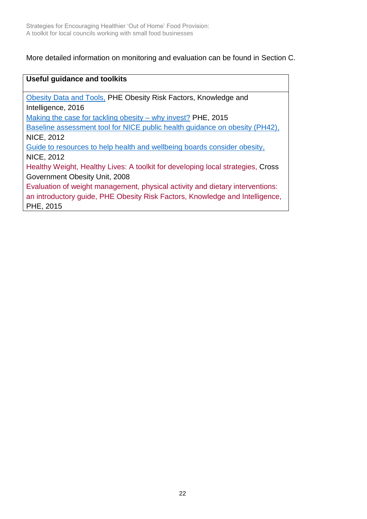More detailed information on monitoring and evaluation can be found in [Section C.](#page-55-0)

| <b>Useful guidance and toolkits</b>                                             |
|---------------------------------------------------------------------------------|
| Obesity Data and Tools, PHE Obesity Risk Factors, Knowledge and                 |
| Intelligence, 2016                                                              |
| Making the case for tackling obesity – why invest? PHE, 2015                    |
| Baseline assessment tool for NICE public health guidance on obesity (PH42),     |
| <b>NICE, 2012</b>                                                               |
| Guide to resources to help health and wellbeing boards consider obesity,        |
| <b>NICE, 2012</b>                                                               |
| Healthy Weight, Healthy Lives: A toolkit for developing local strategies, Cross |
| Government Obesity Unit, 2008                                                   |
| Evaluation of weight management, physical activity and dietary interventions:   |
| an introductory guide, PHE Obesity Risk Factors, Knowledge and Intelligence,    |
| PHE, 2015                                                                       |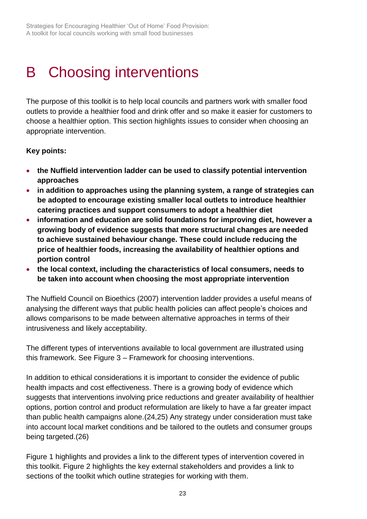# <span id="page-22-0"></span>B Choosing interventions

The purpose of this toolkit is to help local councils and partners work with smaller food outlets to provide a healthier food and drink offer and so make it easier for customers to choose a healthier option. This section highlights issues to consider when choosing an appropriate intervention.

#### **Key points:**

- **the Nuffield intervention ladder can be used to classify potential intervention approaches**
- **in addition to approaches using the planning system, a range of strategies can be adopted to encourage existing smaller local outlets to introduce healthier catering practices and support consumers to adopt a healthier diet**
- **information and education are solid foundations for improving diet, however a growing body of evidence suggests that more structural changes are needed to achieve sustained behaviour change. These could include reducing the price of healthier foods, increasing the availability of healthier options and portion control**
- **the local context, including the characteristics of local consumers, needs to be taken into account when choosing the most appropriate intervention**

The Nuffield Council on Bioethics (2007) intervention ladder provides a useful means of analysing the different ways that public health policies can affect people's choices and allows comparisons to be made between alternative approaches in terms of their intrusiveness and likely acceptability.

The different types of interventions available to local government are illustrated using this framework. See Figure 3 – Framework for choosing interventions.

In addition to ethical considerations it is important to consider the evidence of public health impacts and cost effectiveness. There is a growing body of evidence which suggests that interventions involving price reductions and greater availability of healthier options, portion control and product reformulation are likely to have a far greater impact than public health campaigns alone.(24,25) Any strategy under consideration must take into account local market conditions and be tailored to the outlets and consumer groups being targeted.(26)

Figure 1 highlights and provides a link to the different types of intervention covered in this toolkit. Figure 2 highlights the key external stakeholders and provides a link to sections of the toolkit which outline strategies for working with them.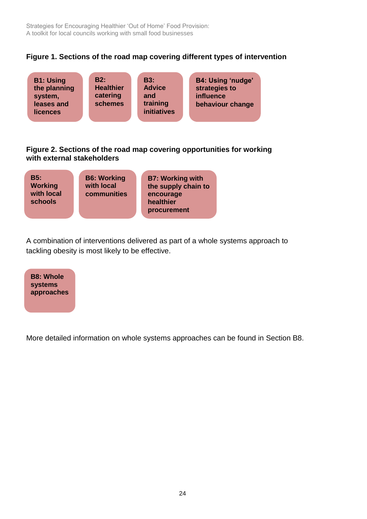Strategies for Encouraging Healthier 'Out of Home' Food Provision: A toolkit for local councils working with small food businesses

#### **Figure 1. Sections of the road map covering different types of intervention**



#### **Figure 2. Sections of the road map covering opportunities for working with external stakeholders**

| B5:<br><b>Working</b><br>with local<br>schools | <b>B6: Working</b><br>with local<br>communities | <b>B7: Working with</b><br>the supply chain to<br>encourage<br>healthier<br>procurement |
|------------------------------------------------|-------------------------------------------------|-----------------------------------------------------------------------------------------|
|------------------------------------------------|-------------------------------------------------|-----------------------------------------------------------------------------------------|

A combination of interventions delivered as part of a whole systems approach to tackling obesity is most likely to be effective.

| <b>B8: Whole</b> |
|------------------|
| <b>systems</b>   |
| approaches       |

More detailed information on whole systems approaches can be found in [Section B8.](#page-53-0) pre detaile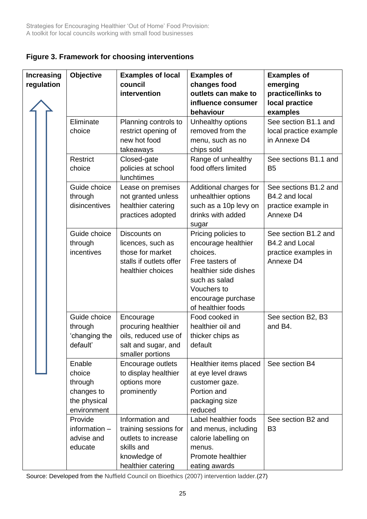| Figure 3. Framework for choosing interventions |  |  |
|------------------------------------------------|--|--|
|------------------------------------------------|--|--|

| Increasing | Objective                                                                | <b>Examples of local</b>                                                                                            | <b>Examples of</b>                                                                                                                                                             | <b>Examples of</b>                                                                      |
|------------|--------------------------------------------------------------------------|---------------------------------------------------------------------------------------------------------------------|--------------------------------------------------------------------------------------------------------------------------------------------------------------------------------|-----------------------------------------------------------------------------------------|
| regulation |                                                                          | council<br>intervention                                                                                             | changes food<br>outlets can make to<br>influence consumer<br>behaviour                                                                                                         | emerging<br>practice/links to<br>local practice<br>examples                             |
|            | Eliminate<br>choice<br>Restrict                                          | Planning controls to<br>restrict opening of<br>new hot food<br>takeaways<br>Closed-gate                             | Unhealthy options<br>removed from the<br>menu, such as no<br>chips sold<br>Range of unhealthy                                                                                  | See section B1.1 and<br>local practice example<br>in Annexe D4<br>See sections B1.1 and |
|            | choice                                                                   | policies at school<br>lunchtimes                                                                                    | food offers limited                                                                                                                                                            | B <sub>5</sub>                                                                          |
|            | Guide choice<br>through<br>disincentives                                 | Lease on premises<br>not granted unless<br>healthier catering<br>practices adopted                                  | Additional charges for<br>unhealthier options<br>such as a 10p levy on<br>drinks with added<br>sugar                                                                           | See sections B1.2 and<br>B4.2 and local<br>practice example in<br>Annexe D4             |
|            | Guide choice<br>through<br>incentives                                    | Discounts on<br>licences, such as<br>those for market<br>stalls if outlets offer<br>healthier choices               | Pricing policies to<br>encourage healthier<br>choices.<br>Free tasters of<br>healthier side dishes<br>such as salad<br>Vouchers to<br>encourage purchase<br>of healthier foods | See section B1.2 and<br>B4.2 and Local<br>practice examples in<br>Annexe D4             |
|            | Guide choice<br>through<br>'changing the<br>default'                     | Encourage<br>procuring healthier<br>oils, reduced use of<br>salt and sugar, and<br>smaller portions                 | Food cooked in<br>healthier oil and<br>thicker chips as<br>default                                                                                                             | See section B2, B3<br>and B4.                                                           |
|            | Enable<br>choice<br>through<br>changes to<br>the physical<br>environment | Encourage outlets<br>to display healthier<br>options more<br>prominently                                            | Healthier items placed<br>at eye level draws<br>customer gaze.<br>Portion and<br>packaging size<br>reduced                                                                     | See section B4                                                                          |
|            | Provide<br>information $-$<br>advise and<br>educate                      | Information and<br>training sessions for<br>outlets to increase<br>skills and<br>knowledge of<br>healthier catering | Label healthier foods<br>and menus, including<br>calorie labelling on<br>menus.<br>Promote healthier<br>eating awards                                                          | See section B2 and<br>B <sub>3</sub>                                                    |

<span id="page-24-0"></span>Source: Developed from the Nuffield Council on Bioethics (2007) intervention ladder.(27) i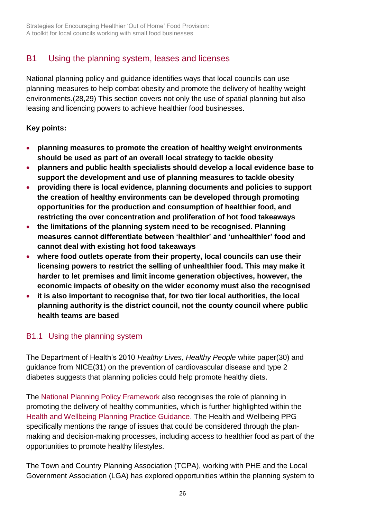# <span id="page-25-0"></span>B1 Using the planning system, leases and licenses

National planning policy and guidance identifies ways that local councils can use planning measures to help combat obesity and promote the delivery of healthy weight environments.(28,29) This section covers not only the use of spatial planning but also leasing and licencing powers to achieve healthier food businesses.

## **Key points:**

- **planning measures to promote the creation of healthy weight environments should be used as part of an overall local strategy to tackle obesity**
- **planners and public health specialists should develop a local evidence base to support the development and use of planning measures to tackle obesity**
- **providing there is local evidence, planning documents and policies to support the creation of healthy environments can be developed through promoting opportunities for the production and consumption of healthier food, and restricting the over concentration and proliferation of hot food takeaways**
- **the limitations of the planning system need to be recognised. Planning measures cannot differentiate between 'healthier' and 'unhealthier' food and cannot deal with existing hot food takeaways**
- **where food outlets operate from their property, local councils can use their licensing powers to restrict the selling of unhealthier food. This may make it harder to let premises and limit income generation objectives, however, the economic impacts of obesity on the wider economy must also the recognised**
- **it is also important to recognise that, for two tier local authorities, the local planning authority is the district council, not the county council where public health teams are based**

## B1.1 Using the planning system

The Department of Health's 2010 *Healthy Lives, Healthy People* white paper(30) and guidance from NICE(31) on the prevention of cardiovascular disease and type 2 diabetes suggests that planning policies could help promote healthy diets.

The [National Planning Policy Framework](https://www.gov.uk/government/publications/national-planning-policy-framework--2) also recognises the role of planning in promoting the delivery of healthy communities, which is further highlighted within the [Health and Wellbeing Planning Practice Guidance.](http://planningguidance.communities.gov.uk/blog/guidance/health-and-wellbeing/what-is-the-role-of-health-and-wellbeing-in-planning/) The Health and Wellbeing PPG specifically mentions the range of issues that could be considered through the planmaking and decision-making processes, including access to healthier food as part of the opportunities to promote healthy lifestyles.

The Town and Country Planning Association (TCPA), working with PHE and the Local Government Association (LGA) has explored opportunities within the planning system to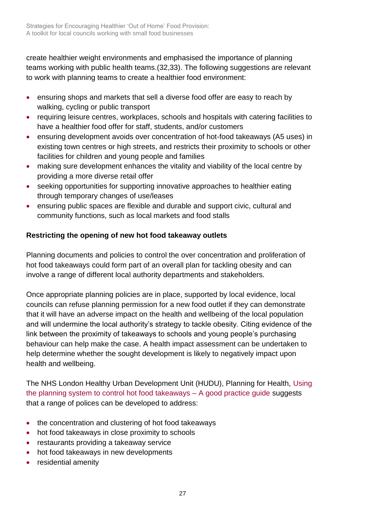create healthier weight environments and emphasised the importance of planning teams working with public health teams.(32,33). The following suggestions are relevant to work with planning teams to create a healthier food environment:

- ensuring shops and markets that sell a diverse food offer are easy to reach by walking, cycling or public transport
- requiring leisure centres, workplaces, schools and hospitals with catering facilities to have a healthier food offer for staff, students, and/or customers
- ensuring development avoids over concentration of hot-food takeaways (A5 uses) in existing town centres or high streets, and restricts their proximity to schools or other facilities for children and young people and families
- making sure development enhances the vitality and viability of the local centre by providing a more diverse retail offer
- seeking opportunities for supporting innovative approaches to healthier eating through temporary changes of use/leases
- ensuring public spaces are flexible and durable and support civic, cultural and community functions, such as local markets and food stalls

## **Restricting the opening of new hot food takeaway outlets**

Planning documents and policies to control the over concentration and proliferation of hot food takeaways could form part of an overall plan for tackling obesity and can involve a range of different local authority departments and stakeholders.

Once appropriate planning policies are in place, supported by local evidence, local councils can refuse planning permission for a new food outlet if they can demonstrate that it will have an adverse impact on the health and wellbeing of the local population and will undermine the local authority's strategy to tackle obesity. Citing evidence of the link between the proximity of takeaways to schools and young people's purchasing behaviour can help make the case. A health impact assessment can be undertaken to help determine whether the sought development is likely to negatively impact upon health and wellbeing.

The NHS London Healthy Urban Development Unit (HUDU), Planning for Health, [Using](http://www.healthyurbandevelopment.nhs.uk/publications/)  [the planning system to control hot food takeaways –](http://www.healthyurbandevelopment.nhs.uk/publications/) A good practice guide suggests that a range of polices can be developed to address:

- the concentration and clustering of hot food takeaways
- hot food takeaways in close proximity to schools
- restaurants providing a takeaway service
- hot food takeaways in new developments
- residential amenity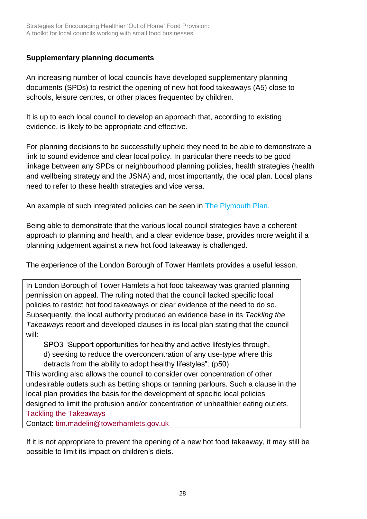### **Supplementary planning documents**

An increasing number of local councils have developed supplementary planning documents (SPDs) to restrict the opening of new hot food takeaways (A5) close to schools, leisure centres, or other places frequented by children.

It is up to each local council to develop an approach that, according to existing evidence, is likely to be appropriate and effective.

For planning decisions to be successfully upheld they need to be able to demonstrate a link to sound evidence and clear local policy. In particular there needs to be good linkage between any SPDs or neighbourhood planning policies, health strategies (health and wellbeing strategy and the JSNA) and, most importantly, the local plan. Local plans need to refer to these health strategies and vice versa.

An example of such integrated policies can be seen in [The Plymouth Plan.](http://www.plymouth.gov.uk/planningandbuildingcontrol/plymouthplan)

Being able to demonstrate that the various local council strategies have a coherent approach to planning and health, and a clear evidence base, provides more weight if a planning judgement against a new hot food takeaway is challenged.

The experience of the London Borough of Tower Hamlets provides a useful lesson.

In London Borough of Tower Hamlets a hot food takeaway was granted planning permission on appeal. The ruling noted that the council lacked specific local policies to restrict hot food takeaways or clear evidence of the need to do so. Subsequently, the local authority produced an evidence base in its *Tackling the Takeaways* report and developed clauses in its local plan stating that the council will:

SPO3 "Support opportunities for healthy and active lifestyles through, d) seeking to reduce the overconcentration of any use-type where this detracts from the ability to adopt healthy lifestyles". (p50)

This wording also allows the council to consider over concentration of other undesirable outlets such as betting shops or tanning parlours. Such a clause in the local plan provides the basis for the development of specific local policies designed to limit the profusion and/or concentration of unhealthier eating outlet[s.](http://www.towerhamlets.gov.uk/Documents/Planning-and-building-control/Strategic-Planning/Local-Plan/Evidence-base/A5-Takeways.pdf)  [Tackling the Takeaways](http://www.towerhamlets.gov.uk/Documents/Planning-and-building-control/Strategic-Planning/Local-Plan/Evidence-base/A5-Takeways.pdf)

Contact: [tim.madelin@towerhamlets.gov.uk](mailto:tim.madelin@towerhamlets.gov.uk)

If it is not appropriate to prevent the opening of a new hot food takeaway, it may still be possible to limit its impact on children's diets.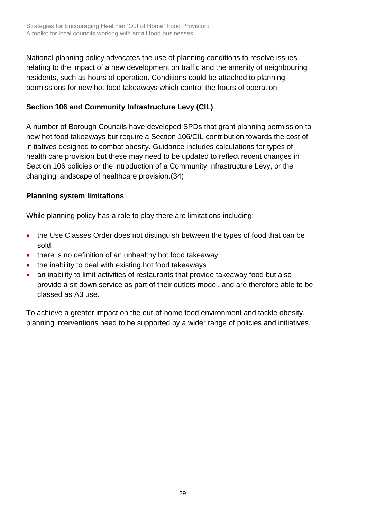National planning policy advocates the use of planning conditions to resolve issues relating to the impact of a new development on traffic and the amenity of neighbouring residents, such as hours of operation. Conditions could be attached to planning permissions for new hot food takeaways which control the hours of operation.

## **Section 106 and Community Infrastructure Levy (CIL)**

A number of Borough Councils have developed SPDs that grant planning permission to new hot food takeaways but require a Section 106/CIL contribution towards the cost of initiatives designed to combat obesity. Guidance includes calculations for types of health care provision but these may need to be updated to reflect recent changes in Section 106 policies or the introduction of a Community Infrastructure Levy, or the changing landscape of healthcare provision.(34)

## **Planning system limitations**

While planning policy has a role to play there are limitations including:

- the Use Classes Order does not distinguish between the types of food that can be sold
- there is no definition of an unhealthy hot food takeaway
- the inability to deal with existing hot food takeaways
- an inability to limit activities of restaurants that provide takeaway food but also provide a sit down service as part of their outlets model, and are therefore able to be classed as A3 use.

To achieve a greater impact on the out-of-home food environment and tackle obesity, planning interventions need to be supported by a wider range of policies and initiatives.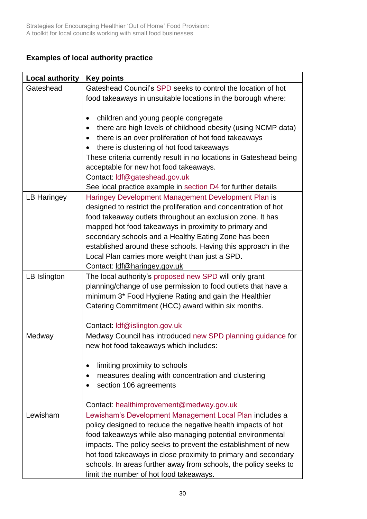## **Examples of local authority practice**

| <b>Local authority</b> | <b>Key points</b>                                                                                                                                                                                                                                                                                                                                                                                                                                    |
|------------------------|------------------------------------------------------------------------------------------------------------------------------------------------------------------------------------------------------------------------------------------------------------------------------------------------------------------------------------------------------------------------------------------------------------------------------------------------------|
| Gateshead              | Gateshead Council's SPD seeks to control the location of hot                                                                                                                                                                                                                                                                                                                                                                                         |
|                        | food takeaways in unsuitable locations in the borough where:                                                                                                                                                                                                                                                                                                                                                                                         |
|                        | children and young people congregate<br>$\bullet$<br>there are high levels of childhood obesity (using NCMP data)<br>there is an over proliferation of hot food takeaways<br>there is clustering of hot food takeaways<br>$\bullet$<br>These criteria currently result in no locations in Gateshead being<br>acceptable for new hot food takeaways.<br>Contact: ldf@gateshead.gov.uk<br>See local practice example in section D4 for further details |
| <b>LB Haringey</b>     | Haringey Development Management Development Plan is<br>designed to restrict the proliferation and concentration of hot<br>food takeaway outlets throughout an exclusion zone. It has<br>mapped hot food takeaways in proximity to primary and<br>secondary schools and a Healthy Eating Zone has been<br>established around these schools. Having this approach in the<br>Local Plan carries more weight than just a SPD.                            |
|                        | Contact: ldf@haringey.gov.uk                                                                                                                                                                                                                                                                                                                                                                                                                         |
| LB Islington           | The local authority's proposed new SPD will only grant<br>planning/change of use permission to food outlets that have a<br>minimum 3* Food Hygiene Rating and gain the Healthier<br>Catering Commitment (HCC) award within six months.<br>Contact: Idf@islington.gov.uk                                                                                                                                                                              |
| Medway                 | Medway Council has introduced new SPD planning guidance for<br>new hot food takeaways which includes:                                                                                                                                                                                                                                                                                                                                                |
|                        | limiting proximity to schools<br>measures dealing with concentration and clustering<br>section 106 agreements<br>Contact: healthimprovement@medway.gov.uk                                                                                                                                                                                                                                                                                            |
|                        |                                                                                                                                                                                                                                                                                                                                                                                                                                                      |
| Lewisham               | Lewisham's Development Management Local Plan includes a<br>policy designed to reduce the negative health impacts of hot<br>food takeaways while also managing potential environmental<br>impacts. The policy seeks to prevent the establishment of new<br>hot food takeaways in close proximity to primary and secondary<br>schools. In areas further away from schools, the policy seeks to<br>limit the number of hot food takeaways.              |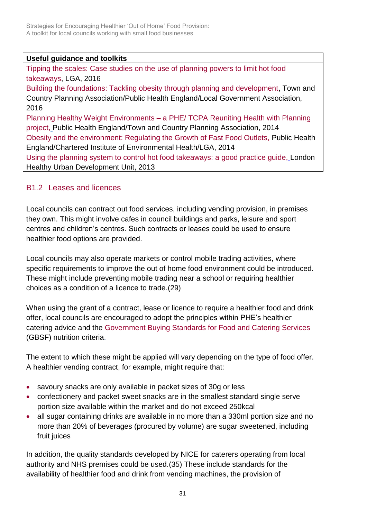#### **Useful guidance and toolkits**

[Tipping the scales: Case studies on the use of planning powers to limit hot food](http://www.local.gov.uk/publications/-/journal_content/56/10180/7711925/PUBLICATION)  [takeaways,](http://www.local.gov.uk/publications/-/journal_content/56/10180/7711925/PUBLICATION) LGA, 2016 [Building the foundations: Tackling obesity through planning and development,](http://www.local.gov.uk/publications/-/journal_content/56/10180/7716564/PUBLICATION) Town and

Country Planning Association/Public Health England/Local Government Association, 2016

Planning Healthy Weight Environments – [a PHE/ TCPA Reuniting Health with Planning](https://www.tcpa.org.uk/healthyplanning)  [project,](https://www.tcpa.org.uk/healthyplanning) Public Health England/Town and Country Planning Association, 2014 [Obesity and the environment: Regulating the Growth of Fast Food Outlets, P](https://www.gov.uk/government/publications/obesity-and-the-environment-briefing-regulating-the-growth-of-fast-food-outlets)ublic Health England/Chartered Institute of Environmental Health/LGA, 2014

[Using the planning system to control hot food takeaways: a good practice guide,](http://www.healthyurbandevelopment.nhs.uk/publications/) London Healthy Urban Development Unit, 2013

## B1.2 Leases and licences

Local councils can contract out food services, including vending provision, in premises they own. This might involve cafes in council buildings and parks, leisure and sport centres and children's centres. Such contracts or leases could be used to ensure healthier food options are provided.

Local councils may also operate markets or control mobile trading activities, where specific requirements to improve the out of home food environment could be introduced. These might include preventing mobile trading near a school or requiring healthier choices as a condition of a licence to trade.(29)

When using the grant of a contract, lease or licence to require a healthier food and drink offer, local councils are encouraged to adopt the principles within PHE's healthier catering advice and the [Government Buying Standards for Food and Catering Services](https://www.gov.uk/government/publications/sustainable-procurement-the-gbs-for-food-and-catering-services) (GBSF) nutrition criteria.

The extent to which these might be applied will vary depending on the type of food offer. A healthier vending contract, for example, might require that:

- savoury snacks are only available in packet sizes of 30g or less
- confectionery and packet sweet snacks are in the smallest standard single serve portion size available within the market and do not exceed 250kcal
- all sugar containing drinks are available in no more than a 330ml portion size and no more than 20% of beverages (procured by volume) are sugar sweetened, including fruit juices

In addition, the quality standards developed by NICE for caterers operating from local authority and NHS premises could be used.(35) These include standards for the availability of healthier food and drink from vending machines, the provision of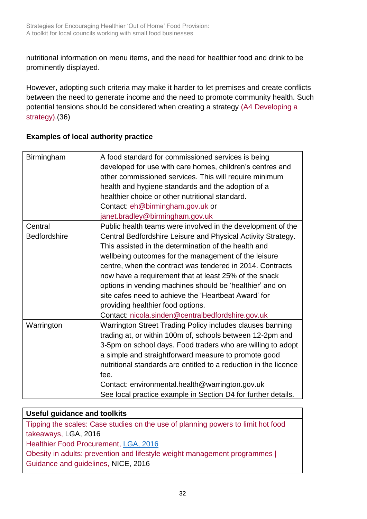nutritional information on menu items, and the need for healthier food and drink to be prominently displayed.

However, adopting such criteria may make it harder to let premises and create conflicts between the need to generate income and the need to promote community health. Such potential tensions should be considered when creating a strategy [\(A4 Developing a](#page-18-0)  [strategy\).\(36\)](#page-18-0)

| Birmingham          | A food standard for commissioned services is being<br>developed for use with care homes, children's centres and<br>other commissioned services. This will require minimum<br>health and hygiene standards and the adoption of a<br>healthier choice or other nutritional standard.<br>Contact: eh@birmingham.gov.uk or<br>janet.bradley@birmingham.gov.uk |
|---------------------|-----------------------------------------------------------------------------------------------------------------------------------------------------------------------------------------------------------------------------------------------------------------------------------------------------------------------------------------------------------|
| Central             | Public health teams were involved in the development of the                                                                                                                                                                                                                                                                                               |
| <b>Bedfordshire</b> | Central Bedfordshire Leisure and Physical Activity Strategy.                                                                                                                                                                                                                                                                                              |
|                     | This assisted in the determination of the health and                                                                                                                                                                                                                                                                                                      |
|                     | wellbeing outcomes for the management of the leisure                                                                                                                                                                                                                                                                                                      |
|                     | centre, when the contract was tendered in 2014. Contracts                                                                                                                                                                                                                                                                                                 |
|                     | now have a requirement that at least 25% of the snack                                                                                                                                                                                                                                                                                                     |
|                     | options in vending machines should be 'healthier' and on                                                                                                                                                                                                                                                                                                  |
|                     | site cafes need to achieve the 'Heartbeat Award' for                                                                                                                                                                                                                                                                                                      |
|                     | providing healthier food options.                                                                                                                                                                                                                                                                                                                         |
|                     | Contact: nicola.sinden@centralbedfordshire.gov.uk                                                                                                                                                                                                                                                                                                         |
| Warrington          | Warrington Street Trading Policy includes clauses banning                                                                                                                                                                                                                                                                                                 |
|                     | trading at, or within 100m of, schools between 12-2pm and                                                                                                                                                                                                                                                                                                 |
|                     | 3-5pm on school days. Food traders who are willing to adopt                                                                                                                                                                                                                                                                                               |
|                     | a simple and straightforward measure to promote good                                                                                                                                                                                                                                                                                                      |
|                     | nutritional standards are entitled to a reduction in the licence                                                                                                                                                                                                                                                                                          |
|                     | fee.                                                                                                                                                                                                                                                                                                                                                      |
|                     | Contact: environmental.health@warrington.gov.uk                                                                                                                                                                                                                                                                                                           |
|                     | See local practice example in Section D4 for further details.                                                                                                                                                                                                                                                                                             |

## **Examples of local authority practice**

## **Useful guidance and toolkits**

[Tipping the scales: Case studies on the use of planning powers to limit hot food](http://www.local.gov.uk/publications/-/journal_content/56/10180/7711925/PUBLICATION)  [takeaways,](http://www.local.gov.uk/publications/-/journal_content/56/10180/7711925/PUBLICATION) LGA, 2016

[Healthier Food Procurement,](http://www.local.gov.uk/web/guest/publications/-/journal_content/56/10180/7931587/PUBLICATION) LGA, 2016

[Obesity in adults: prevention and lifestyle weight management programmes |](https://www.nice.org.uk/guidance/qs111)  [Guidance and guidelines,](https://www.nice.org.uk/guidance/qs111) NICE, 2016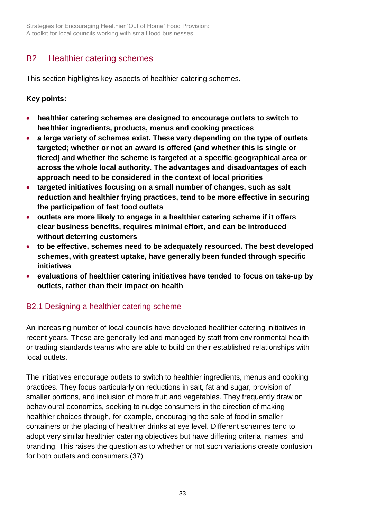Strategies for Encouraging Healthier 'Out of Home' Food Provision: A toolkit for local councils working with small food businesses

# <span id="page-32-0"></span>B2 Healthier catering schemes

This section highlights key aspects of healthier catering schemes.

#### **Key points:**

- **healthier catering schemes are designed to encourage outlets to switch to healthier ingredients, products, menus and cooking practices**
- **a large variety of schemes exist. These vary depending on the type of outlets targeted; whether or not an award is offered (and whether this is single or tiered) and whether the scheme is targeted at a specific geographical area or across the whole local authority. The advantages and disadvantages of each approach need to be considered in the context of local priorities**
- **targeted initiatives focusing on a small number of changes, such as salt reduction and healthier frying practices, tend to be more effective in securing the participation of fast food outlets**
- **outlets are more likely to engage in a healthier catering scheme if it offers clear business benefits, requires minimal effort, and can be introduced without deterring customers**
- **to be effective, schemes need to be adequately resourced. The best developed schemes, with greatest uptake, have generally been funded through specific initiatives**
- **evaluations of healthier catering initiatives have tended to focus on take-up by outlets, rather than their impact on health**

## <span id="page-32-1"></span>B2.1 Designing a healthier catering scheme

An increasing number of local councils have developed healthier catering initiatives in recent years. These are generally led and managed by staff from environmental health or trading standards teams who are able to build on their established relationships with local outlets.

The initiatives encourage outlets to switch to healthier ingredients, menus and cooking practices. They focus particularly on reductions in salt, fat and sugar, provision of smaller portions, and inclusion of more fruit and vegetables. They frequently draw on behavioural economics, seeking to nudge consumers in the direction of making healthier choices through, for example, encouraging the sale of food in smaller containers or the placing of healthier drinks at eye level. Different schemes tend to adopt very similar healthier catering objectives but have differing criteria, names, and branding. This raises the question as to whether or not such variations create confusion for both outlets and consumers.(37)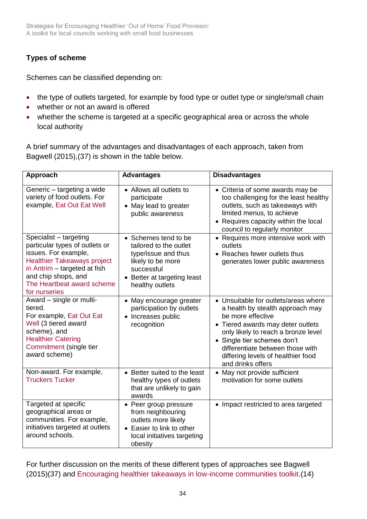## **Types of scheme**

Schemes can be classified depending on:

- the type of outlets targeted, for example by food type or outlet type or single/small chain
- whether or not an award is offered
- whether the scheme is targeted at a specific geographical area or across the whole local authority

A brief summary of the advantages and disadvantages of each approach, taken from Bagwell (2015),(37) is shown in the table below.

| Approach                                                                                                                                                                                                                     | <b>Advantages</b>                                                                                                                                        | <b>Disadvantages</b>                                                                                                                                                                                                                                                                                    |
|------------------------------------------------------------------------------------------------------------------------------------------------------------------------------------------------------------------------------|----------------------------------------------------------------------------------------------------------------------------------------------------------|---------------------------------------------------------------------------------------------------------------------------------------------------------------------------------------------------------------------------------------------------------------------------------------------------------|
| Generic - targeting a wide<br>variety of food outlets. For<br>example, Eat Out Eat Well                                                                                                                                      | • Allows all outlets to<br>participate<br>• May lead to greater<br>public awareness                                                                      | • Criteria of some awards may be<br>too challenging for the least healthy<br>outlets, such as takeaways with<br>limited menus, to achieve<br>• Requires capacity within the local<br>council to regularly monitor                                                                                       |
| Specialist - targeting<br>particular types of outlets or<br>issues. For example,<br><b>Healthier Takeaways project</b><br>in Antrim - targeted at fish<br>and chip shops, and<br>The Heartbeat award scheme<br>for nurseries | • Schemes tend to be<br>tailored to the outlet<br>type/issue and thus<br>likely to be more<br>successful<br>Better at targeting least<br>healthy outlets | • Requires more intensive work with<br>outlets<br>• Reaches fewer outlets thus<br>generates lower public awareness                                                                                                                                                                                      |
| Award - single or multi-<br>tiered.<br>For example, Eat Out Eat<br>Well (3 tiered award<br>scheme), and<br><b>Healthier Catering</b><br>Commitment (single tier<br>award scheme)                                             | May encourage greater<br>$\bullet$<br>participation by outlets<br>Increases public<br>$\bullet$<br>recognition                                           | • Unsuitable for outlets/areas where<br>a health by stealth approach may<br>be more effective<br>• Tiered awards may deter outlets<br>only likely to reach a bronze level<br>• Single tier schemes don't<br>differentiate between those with<br>differing levels of healthier food<br>and drinks offers |
| Non-award. For example,<br><b>Truckers Tucker</b>                                                                                                                                                                            | • Better suited to the least<br>healthy types of outlets<br>that are unlikely to gain<br>awards                                                          | • May not provide sufficient<br>motivation for some outlets                                                                                                                                                                                                                                             |
| Targeted at specific<br>geographical areas or<br>communities. For example,<br>initiatives targeted at outlets<br>around schools.                                                                                             | Peer group pressure<br>from neighbouring<br>outlets more likely<br>• Easier to link to other<br>local initiatives targeting<br>obesity                   | • Impact restricted to area targeted                                                                                                                                                                                                                                                                    |

For further discussion on the merits of these different types of approaches see Bagwell (2015)(37) and [Encouraging healthier takeaways in low-income communities toolkit.](http://www.cieh.org/policy/publications_A_Z.html/encouraging-healthier-takeaways.html)(14)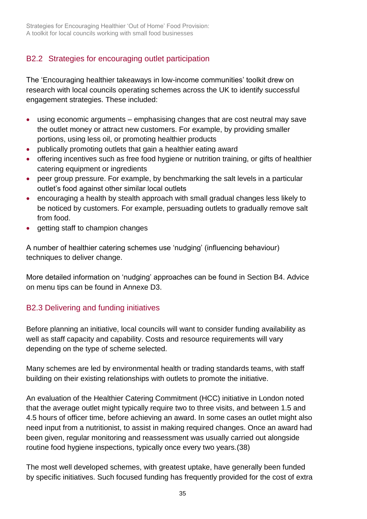## B2.2 Strategies for encouraging outlet participation

The 'Encouraging healthier takeaways in low-income communities' toolkit drew on research with local councils operating schemes across the UK to identify successful engagement strategies. These included:

- using economic arguments emphasising changes that are cost neutral may save the outlet money or attract new customers. For example, by providing smaller portions, using less oil, or promoting healthier products
- publically promoting outlets that gain a healthier eating award
- offering incentives such as free food hygiene or nutrition training, or gifts of healthier catering equipment or ingredients
- peer group pressure. For example, by benchmarking the salt levels in a particular outlet's food against other similar local outlets
- encouraging a health by stealth approach with small gradual changes less likely to be noticed by customers. For example, persuading outlets to gradually remove salt from food.
- getting staff to champion changes

A number of healthier catering schemes use 'nudging' (influencing behaviour) techniques to deliver change.

More detailed information on 'nudging' approaches can be found in [Section B4.](#page-42-0) Advice on menu tips can be found in Annexe D3.

## B2.3 Delivering and funding initiatives

Before planning an initiative, local councils will want to consider funding availability as well as staff capacity and capability. Costs and resource requirements will vary depending on the type of scheme selected.

Many schemes are led by environmental health or trading standards teams, with staff building on their existing relationships with outlets to promote the initiative.

An evaluation of the Healthier Catering Commitment (HCC) initiative in London noted that the average outlet might typically require two to three visits, and between 1.5 and 4.5 hours of officer time, before achieving an award. In some cases an outlet might also need input from a nutritionist, to assist in making required changes. Once an award had been given, regular monitoring and reassessment was usually carried out alongside routine food hygiene inspections, typically once every two years.(38)

The most well developed schemes, with greatest uptake, have generally been funded by specific initiatives. Such focused funding has frequently provided for the cost of extra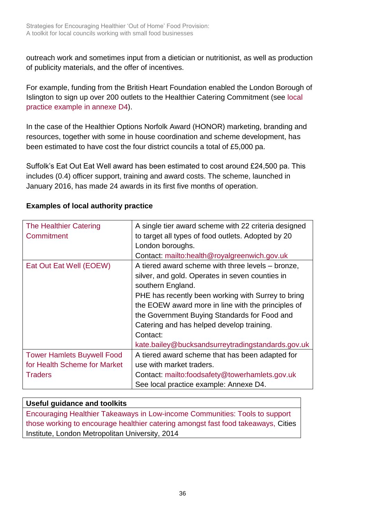outreach work and sometimes input from a dietician or nutritionist, as well as production of publicity materials, and the offer of incentives.

For example, funding from the British Heart Foundation enabled the London Borough of Islington to sign up over 200 outlets to the Healthier Catering Commitment (see local practice example in annexe D4).

In the case of the Healthier Options Norfolk Award (HONOR) marketing, branding and resources, together with some in house coordination and scheme development, has been estimated to have cost the four district councils a total of £5,000 pa.

Suffolk's Eat Out Eat Well award has been estimated to cost around £24,500 pa. This includes (0.4) officer support, training and award costs. The scheme, launched in January 2016, has made 24 awards in its first five months of operation.

| <b>The Healthier Catering</b><br>Commitment | A single tier award scheme with 22 criteria designed<br>to target all types of food outlets. Adopted by 20 |
|---------------------------------------------|------------------------------------------------------------------------------------------------------------|
|                                             | London boroughs.                                                                                           |
|                                             | Contact: mailto:health@royalgreenwich.gov.uk                                                               |
| Eat Out Eat Well (EOEW)                     | A tiered award scheme with three levels – bronze,                                                          |
|                                             | silver, and gold. Operates in seven counties in                                                            |
|                                             | southern England.                                                                                          |
|                                             | PHE has recently been working with Surrey to bring                                                         |
|                                             | the EOEW award more in line with the principles of                                                         |
|                                             | the Government Buying Standards for Food and                                                               |
|                                             | Catering and has helped develop training.                                                                  |
|                                             | Contact:                                                                                                   |
|                                             | kate.bailey@bucksandsurreytradingstandards.gov.uk                                                          |
| <b>Tower Hamlets Buywell Food</b>           | A tiered award scheme that has been adapted for                                                            |
| for Health Scheme for Market                | use with market traders.                                                                                   |
| <b>Traders</b>                              | Contact: mailto:foodsafety@towerhamlets.gov.uk                                                             |
|                                             | See local practice example: Annexe D4.                                                                     |

#### **Examples of local authority practice**

## **Useful guidance and toolkits**

[Encouraging Healthier Takeaways in Low-income Communities: Tools to support](http://www.cieh.org/policy/publications_A_Z.html/encouraging-healthier-takeaways.html)  [those working to encourage healthier catering amongst fast food takeaways,](http://www.cieh.org/policy/publications_A_Z.html/encouraging-healthier-takeaways.html) Cities Institute, London Metropolitan University, 2014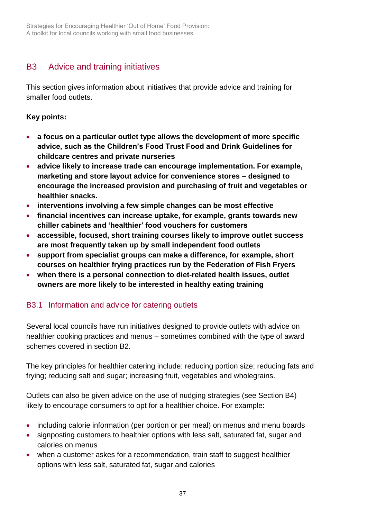# <span id="page-36-0"></span>B3 Advice and training initiatives

This section gives information about initiatives that provide advice and training for smaller food outlets.

#### **Key points:**

- **a focus on a particular outlet type allows the development of more specific advice, such as the Children's Food Trust Food and Drink Guidelines for childcare centres and private nurseries**
- **advice likely to increase trade can encourage implementation. For example, marketing and store layout advice for convenience stores – designed to encourage the increased provision and purchasing of fruit and vegetables or healthier snacks.**
- **interventions involving a few simple changes can be most effective**
- **financial incentives can increase uptake, for example, grants towards new chiller cabinets and 'healthier' food vouchers for customers**
- **accessible, focused, short training courses likely to improve outlet success are most frequently taken up by small independent food outlets**
- **support from specialist groups can make a difference, for example, short courses on healthier frying practices run by the Federation of Fish Fryers**
- **when there is a personal connection to diet-related health issues, outlet owners are more likely to be interested in healthy eating training**

## B3.1 Information and advice for catering outlets

Several local councils have run initiatives designed to provide outlets with advice on healthier cooking practices and menus – sometimes combined with the type of award schemes covered in section B2.

The key principles for healthier catering include: reducing portion size; reducing fats and frying; reducing salt and sugar; increasing fruit, vegetables and wholegrains.

Outlets can also be given advice on the use of nudging strategies (see Section B4) likely to encourage consumers to opt for a healthier choice. For example:

- including calorie information (per portion or per meal) on menus and menu boards
- signposting customers to healthier options with less salt, saturated fat, sugar and calories on menus
- when a customer askes for a recommendation, train staff to suggest healthier options with less salt, saturated fat, sugar and calories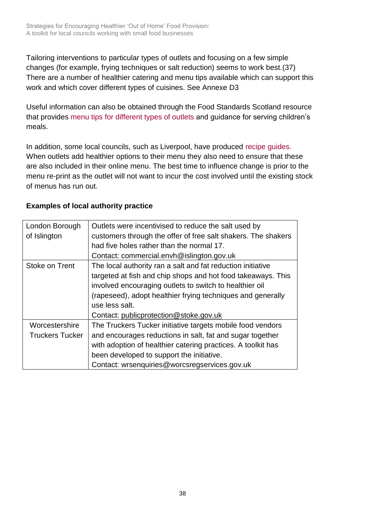Strategies for Encouraging Healthier 'Out of Home' Food Provision: A toolkit for local councils working with small food businesses

Tailoring interventions to particular types of outlets and focusing on a few simple changes (for example, frying techniques or salt reduction) seems to work best.(37) There are a number of healthier catering and menu tips available which can support this work and which cover different types of cuisines. See Annexe D3

Useful information can also be obtained through the Food Standards Scotland resource that provides [menu tips for different types of outlets](http://www.foodstandards.gov.scot/nutrition-healthy-eating/business-industry/healthier-catering) and guidance for serving children's meals.

In addition, some local councils, such as Liverpool, have produced [recipe guides.](http://eatright.liverpool.gov.uk/1365) When outlets add healthier options to their menu they also need to ensure that these are also included in their online menu. The best time to influence change is prior to the menu re-print as the outlet will not want to incur the cost involved until the existing stock of menus has run out.

| London Borough<br>of Islington           | Outlets were incentivised to reduce the salt used by<br>customers through the offer of free salt shakers. The shakers<br>had five holes rather than the normal 17.<br>Contact: commercial.envh@islington.gov.uk                                                                                                   |
|------------------------------------------|-------------------------------------------------------------------------------------------------------------------------------------------------------------------------------------------------------------------------------------------------------------------------------------------------------------------|
| Stoke on Trent                           | The local authority ran a salt and fat reduction initiative<br>targeted at fish and chip shops and hot food takeaways. This<br>involved encouraging outlets to switch to healthier oil<br>(rapeseed), adopt healthier frying techniques and generally<br>use less salt.<br>Contact: publicprotection@stoke.gov.uk |
| Worcestershire<br><b>Truckers Tucker</b> | The Truckers Tucker initiative targets mobile food vendors<br>and encourages reductions in salt, fat and sugar together<br>with adoption of healthier catering practices. A toolkit has                                                                                                                           |
|                                          | been developed to support the initiative.<br>Contact: wrsenquiries@worcsregservices.gov.uk                                                                                                                                                                                                                        |

#### **Examples of local authority practice**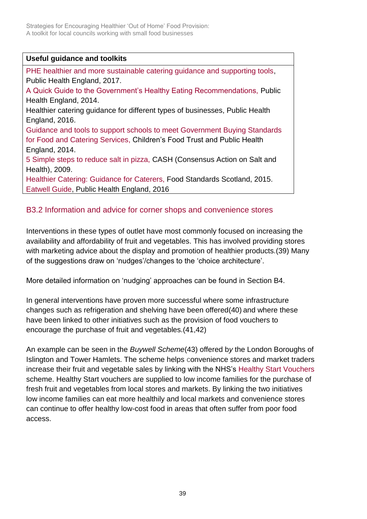Strategies for Encouraging Healthier 'Out of Home' Food Provision: A toolkit for local councils working with small food businesses

#### **Useful guidance and toolkits**

[PHE healthier and more sustainable catering guidance and supporting tools,](https://www.gov.uk/government/publications/healthier-and-more-sustainable-catering-a-toolkit-for-serving-food-to-adults) Public Health England, 2017[.](https://www.gov.uk/government/publications/the-eatwell-guide)

[A Quick Guide to the Government's Healthy Eating Recommendations,](https://www.gov.uk/government/publications/the-eatwell-guide) Public Health England, 2014.

Healthier catering guidance for different types of businesses, Public Health England, 2016.

[Guidance and tools to support schools to meet Government Buying Standards](http://www.childrensfoodtrust.org.uk/thestandards/ingredients)  [for Food and Catering Services,](http://www.childrensfoodtrust.org.uk/thestandards/ingredients) Children's Food Trust and Public Health England, 2014.

[5 Simple steps to reduce salt in pizza,](http://www.actiononsalt.org.uk/news/Salt%20in%20the%20news/2009/58313.html) CASH (Consensus Action on Salt and Health), 2009.

[Healthier Catering: Guidance for Caterers,](http://www.foodstandards.gov.scot/nutrition-healthy-eating/business-industry/healthier-catering) Food Standards Scotland, 2015. [Eatwell Guide,](https://www.gov.uk/government/uploads/system/uploads/attachment_data/file/528193/Eatwell_guide_colour.pdf) Public Health England, 2016

## B3.2 Information and advice for corner shops and convenience stores

Interventions in these types of outlet have most commonly focused on increasing the availability and affordability of fruit and vegetables. This has involved providing stores with marketing advice about the display and promotion of healthier products.(39) Many of the suggestions draw on 'nudges'/changes to the 'choice architecture'.

More detailed information on 'nudging' approaches can be found in [Section B4.](#page-42-0)

In general interventions have proven more successful where some infrastructure changes such as refrigeration and shelving have been offered(40) and where these have been linked to other initiatives such as the provision of food vouchers to encourage the purchase of fruit and vegetables.(41,42)

An example can be seen in the *Buywell Scheme*(43) offered b*y* the London Boroughs of Islington and Tower Hamlets. The scheme helps convenience stores and market traders increase their fruit and vegetable sales by linking with the NHS's [Healthy Start Vouchers](https://www.healthystart.nhs.uk/) scheme. Healthy Start vouchers are supplied to low income families for the purchase of fresh fruit and vegetables from local stores and markets. By linking the two initiatives low income families can eat more healthily and local markets and convenience stores can continue to offer healthy low-cost food in areas that often suffer from poor food access.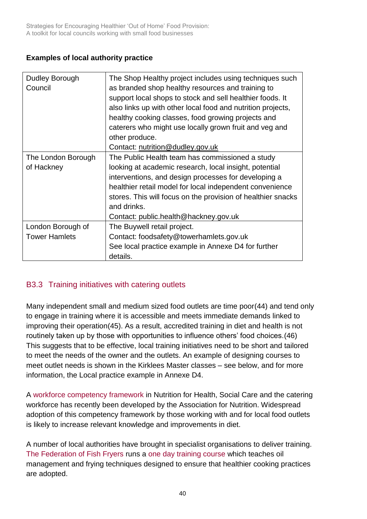## **Examples of local authority practice**

| Dudley Borough       | The Shop Healthy project includes using techniques such      |
|----------------------|--------------------------------------------------------------|
| Council              | as branded shop healthy resources and training to            |
|                      | support local shops to stock and sell healthier foods. It    |
|                      | also links up with other local food and nutrition projects,  |
|                      | healthy cooking classes, food growing projects and           |
|                      | caterers who might use locally grown fruit and veg and       |
|                      | other produce.                                               |
|                      | Contact: nutrition@dudley.gov.uk                             |
| The London Borough   | The Public Health team has commissioned a study              |
| of Hackney           | looking at academic research, local insight, potential       |
|                      | interventions, and design processes for developing a         |
|                      | healthier retail model for local independent convenience     |
|                      | stores. This will focus on the provision of healthier snacks |
|                      | and drinks.                                                  |
|                      | Contact: public.health@hackney.gov.uk                        |
| London Borough of    | The Buywell retail project.                                  |
| <b>Tower Hamlets</b> | Contact: foodsafety@towerhamlets.gov.uk                      |
|                      | See local practice example in Annexe D4 for further          |
|                      | details.                                                     |

## B3.3 Training initiatives with catering outlets

Many independent small and medium sized food outlets are time poor(44) and tend only to engage in training where it is accessible and meets immediate demands linked to improving their operation(45). As a result, accredited training in diet and health is not routinely taken up by those with opportunities to influence others' food choices.(46) This suggests that to be effective, local training initiatives need to be short and tailored to meet the needs of the owner and the outlets. An example of designing courses to meet outlet needs is shown in the Kirklees Master classes – see below, and for more information, the Local practice example in Annexe D4.

A [workforce competency framework](http://www.associationfornutrition.org/Default.aspx?tabid=209) in Nutrition for Health, Social Care and the catering workforce has recently been developed by the Association for Nutrition. Widespread adoption of this competency framework by those working with and for local food outlets is likely to increase relevant knowledge and improvements in diet.

A number of local authorities have brought in specialist organisations to deliver training. [The Federation of Fish Fryers](http://www.federationoffishfriers.co.uk/) runs a [one day training course](http://www.federationoffishfriers.co.uk/pages/training-academy-1810.htm) which teaches oil management and frying techniques designed to ensure that healthier cooking practices are adopted.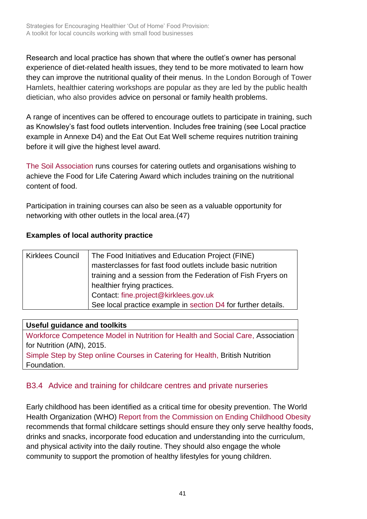Research and local practice has shown that where the outlet's owner has personal experience of diet-related health issues, they tend to be more motivated to learn how they can improve the nutritional quality of their menus. In the London Borough of Tower Hamlets, healthier catering workshops are popular as they are led by the public health dietician, who also provides advice on personal or family health problems.

A range of incentives can be offered to encourage outlets to participate in training, such as Knowlsley's fast food outlets intervention. Includes free training (see Local practice example in Annexe D4) and the Eat Out Eat Well scheme requires nutrition training before it will give the highest level award.

[The Soil Association](https://www.soilassociation.org/) runs courses for catering outlets and organisations wishing to achieve the Food for Life Catering Award which includes training on the nutritional content of food.

Participation in training courses can also be seen as a valuable opportunity for networking with other outlets in the local area.(47)

#### **Examples of local authority practice**

| <b>Kirklees Council</b> | The Food Initiatives and Education Project (FINE)             |  |  |
|-------------------------|---------------------------------------------------------------|--|--|
|                         | masterclasses for fast food outlets include basic nutrition   |  |  |
|                         | training and a session from the Federation of Fish Fryers on  |  |  |
|                         | healthier frying practices.                                   |  |  |
|                         | Contact: fine.project@kirklees.gov.uk                         |  |  |
|                         | See local practice example in section D4 for further details. |  |  |

**Useful guidance and toolkits** [Workforce Competence Model in Nutrition for Health and Social Care,](http://www.associationfornutrition.org/Default.aspx?tabid=209) Association for Nutrition (AfN), 2015. [Simple Step by Step online Courses in Catering for Health,](https://nutrition.training/) British Nutrition Foundation.

## B3.4 Advice and training for childcare centres and private nurseries

Early childhood has been identified as a critical time for obesity prevention. The World Health Organization (WHO) [Report from the Commission on Ending Childhood Obesity](http://www.who.int/end-childhood-obesity/final-report/en) recommends that formal childcare settings should ensure they only serve healthy foods, drinks and snacks, incorporate food education and understanding into the curriculum, and physical activity into the daily routine. They should also engage the whole community to support the promotion of healthy lifestyles for young children.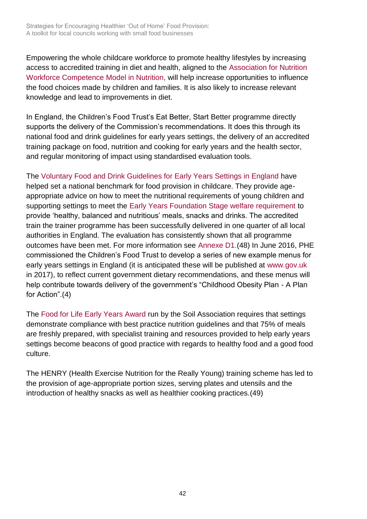Empowering the whole childcare workforce to promote healthy lifestyles by increasing access to accredited training in diet and health, aligned to the [Association for Nutrition](http://www.associationfornutrition.org/Default.aspx?tabid=209)  [Workforce Competence Model in Nutrition,](http://www.associationfornutrition.org/Default.aspx?tabid=209) will help increase opportunities to influence the food choices made by children and families. It is also likely to increase relevant knowledge and lead to improvements in diet.

In England, the Children's Food Trust's Eat Better, Start Better programme directly supports the delivery of the Commission's recommendations. It does this through its national food and drink guidelines for early years settings, the delivery of an accredited training package on food, nutrition and cooking for early years and the health sector, and regular monitoring of impact using standardised evaluation tools.

The [Voluntary Food and Drink Guidelines for Early Years Settings in England](http://www.childrensfoodtrust.org.uk/childrens-food-trust/early-years/ey-resources/) have helped set a national benchmark for food provision in childcare. They provide ageappropriate advice on how to meet the nutritional requirements of young children and supporting settings to meet the [Early Years Foundation Stage welfare requirement](https://www.gov.uk/government/publications/early-years-foundation-stage-framework--2) to provide 'healthy, balanced and nutritious' meals, snacks and drinks. The accredited train the trainer programme has been successfully delivered in one quarter of all local authorities in England. The evaluation has consistently shown that all programme outcomes have been met. For more information see Annexe D1.(48) In June 2016, PHE commissioned the Children's Food Trust to develop a series of new example menus for early years settings in England (it is anticipated these will be published at [www.gov.uk](http://www.gov.uk/) in 2017), to reflect current government dietary recommendations, and these menus will help contribute towards delivery of the government's "Childhood Obesity Plan - A Plan for Action".(4)

The [Food for Life Early Years Award](http://www.foodforlife.org.uk/early-years) run by the Soil Association requires that settings demonstrate compliance with best practice nutrition guidelines and that 75% of meals are freshly prepared, with specialist training and resources provided to help early years settings become beacons of good practice with regards to healthy food and a good food culture.

The HENRY (Health Exercise Nutrition for the Really Young) training scheme has led to the provision of age-appropriate portion sizes, serving plates and utensils and the introduction of healthy snacks as well as healthier cooking practices.(49)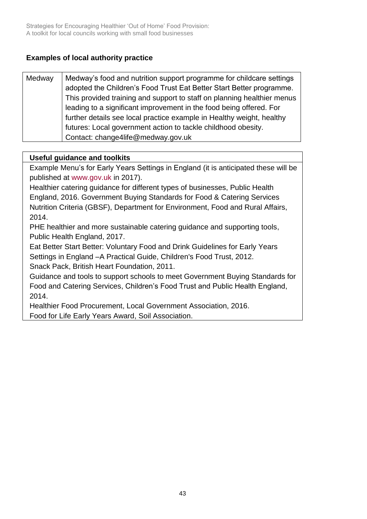## **Examples of local authority practice**

| Medway | Medway's food and nutrition support programme for childcare settings<br>adopted the Children's Food Trust Eat Better Start Better programme. |
|--------|----------------------------------------------------------------------------------------------------------------------------------------------|
|        |                                                                                                                                              |
|        | This provided training and support to staff on planning healthier menus                                                                      |
|        | leading to a significant improvement in the food being offered. For                                                                          |
|        | further details see local practice example in Healthy weight, healthy                                                                        |
|        | futures: Local government action to tackle childhood obesity.                                                                                |
|        | Contact: change4life@medway.gov.uk                                                                                                           |

#### **Useful guidance and toolkits**

Example Menu's for Early Years Settings in England (it is anticipated these will be published at [www.gov.uk](http://www.gov.uk/) in 2017).

Healthier catering guidance for different types of businesses, Public Health England, 2016. [Government Buying Standards for Food & Catering Services](https://www.gov.uk/government/publications/sustainable-procurement-the-gbs-for-food-and-catering-services)  [Nutrition Criteria \(GBSF\), D](https://www.gov.uk/government/publications/sustainable-procurement-the-gbs-for-food-and-catering-services)epartment for Environment, Food and Rural Affairs, 2014.

[PHE healthier and more sustainable catering guidance and supporting tools,](https://www.gov.uk/government/publications/healthier-and-more-sustainable-catering-a-toolkit-for-serving-food-to-adults) Public Health England, 2017.

[Eat Better Start Better: Voluntary Food and Drink Guidelines for Early Years](http://www.childrensfoodtrust.org.uk/childrens-food-trust/early-years/ey-resources/)  [Settings in England –A Practical Guide, C](http://www.childrensfoodtrust.org.uk/childrens-food-trust/early-years/ey-resources/)hildren's Food Trust, 2012.

[Snack Pack,](http://www.bhf.org.uk/publications/children-and-young-people/snack-pack) British Heart Foundation, 2011.

[Guidance and tools to support schools to meet Government Buying Standards for](http://www.childrensfoodtrust.org.uk/thestandards/ingredients)  [Food and Catering Services,](http://www.childrensfoodtrust.org.uk/thestandards/ingredients) Children's Food Trust and Public Health England, 2014.

<span id="page-42-0"></span>[Healthier Food Procurement,](http://www.local.gov.uk/publications/-/journal_content/56/10180/7931587/PUBLICATION) Local Government Association, 2016. [Food for Life Early Years Award,](http://www.foodforlife.org.uk/early-years) Soil Association.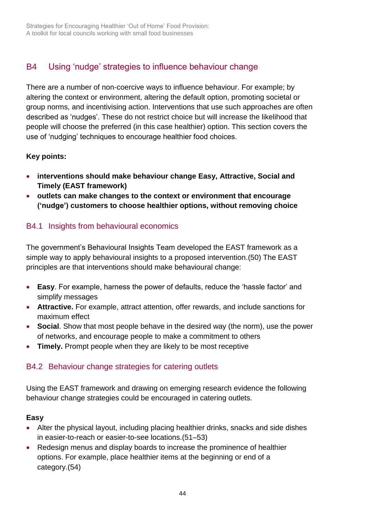# <span id="page-43-0"></span>B4 Using 'nudge' strategies to influence behaviour change

There are a number of non-coercive ways to influence behaviour. For example; by altering the context or environment, altering the default option, promoting societal or group norms, and incentivising action. Interventions that use such approaches are often described as 'nudges'. These do not restrict choice but will increase the likelihood that people will choose the preferred (in this case healthier) option. This section covers the use of 'nudging' techniques to encourage healthier food choices.

#### **Key points:**

- **interventions should make behaviour change Easy, Attractive, Social and Timely (EAST framework)**
- **outlets can make changes to the context or environment that encourage ('nudge') customers to choose healthier options, without removing choice**

## B4.1 Insights from behavioural economics

The government's Behavioural Insights Team developed the EAST framework as a simple way to apply behavioural insights to a proposed intervention.(50) The EAST principles are that interventions should make behavioural change:

- **Easy**. For example, harness the power of defaults, reduce the 'hassle factor' and simplify messages
- **Attractive.** For example, attract attention, offer rewards, and include sanctions for maximum effect
- **Social**. Show that most people behave in the desired way (the norm), use the power of networks, and encourage people to make a commitment to others
- **Timely.** Prompt people when they are likely to be most receptive

## B4.2 Behaviour change strategies for catering outlets

Using the EAST framework and drawing on emerging research evidence the following behaviour change strategies could be encouraged in catering outlets.

#### **Easy**

- Alter the physical layout, including placing healthier drinks, snacks and side dishes in easier-to-reach or easier-to-see locations.(51–53)
- Redesign menus and display boards to increase the prominence of healthier options. For example, place healthier items at the beginning or end of a category.(54)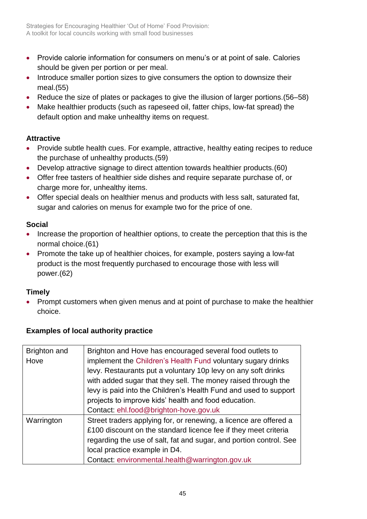- Provide calorie information for consumers on menu's or at point of sale. Calories should be given per portion or per meal.
- Introduce smaller portion sizes to give consumers the option to downsize their meal.(55)
- Reduce the size of plates or packages to give the illusion of larger portions.(56–58)
- Make healthier products (such as rapeseed oil, fatter chips, low-fat spread) the default option and make unhealthy items on request.

## **Attractive**

- Provide subtle health cues. For example, attractive, healthy eating recipes to reduce the purchase of unhealthy products.(59)
- Develop attractive signage to direct attention towards healthier products.(60)
- Offer free tasters of healthier side dishes and require separate purchase of, or charge more for, unhealthy items.
- Offer special deals on healthier menus and products with less salt, saturated fat, sugar and calories on menus for example two for the price of one.

## **Social**

- Increase the proportion of healthier options, to create the perception that this is the normal choice.(61)
- Promote the take up of healthier choices, for example, posters saying a low-fat product is the most frequently purchased to encourage those with less will power.(62)

## **Timely**

 Prompt customers when given menus and at point of purchase to make the healthier choice.

## **Examples of local authority practice**

| Brighton and | Brighton and Hove has encouraged several food outlets to           |
|--------------|--------------------------------------------------------------------|
| Hove         | implement the Children's Health Fund voluntary sugary drinks       |
|              | levy. Restaurants put a voluntary 10p levy on any soft drinks      |
|              | with added sugar that they sell. The money raised through the      |
|              | levy is paid into the Children's Health Fund and used to support   |
|              | projects to improve kids' health and food education.               |
|              | Contact: ehl.food@brighton-hove.gov.uk                             |
| Warrington   | Street traders applying for, or renewing, a licence are offered a  |
|              | £100 discount on the standard licence fee if they meet criteria    |
|              | regarding the use of salt, fat and sugar, and portion control. See |
|              | local practice example in D4.                                      |
|              | Contact: environmental.health@warrington.gov.uk                    |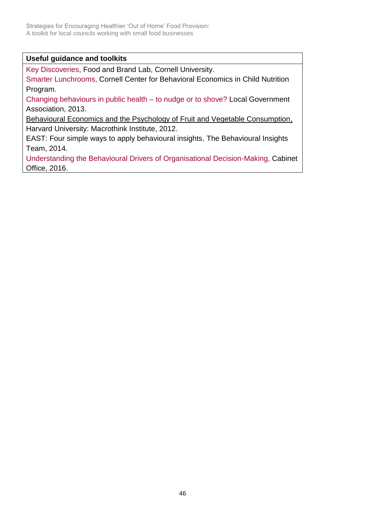#### **Useful guidance and toolkits**

[Key Discoveries,](http://foodpsychology.cornell.edu/discoveries) Food and Brand Lab, Cornell University.

[Smarter Lunchrooms,](http://smarterlunchrooms.org/) Cornell Center for Behavioral Economics in Child Nutrition Program.

[Changing behaviours in public health –](http://www.local.gov.uk/publications/-/journal_content/56/10180/5557157/PUBLICATION) to nudge or to shove? Local Government Association, 2013.

[Behavioural Economics and the Psychology of Fruit and Vegetable Consumption,](http://www.macrothink.org/journal/index.php/jfs/article/view/2014/1755ʺ,ʺBehavioral%20Economics%20and%20the%20Psychology%20of%20Fruit%20and%20Vegetable%20Consumption) Harvard University: Macrothink Institute, 2012.

[EAST: Four simple ways to apply behavioural insights,](http://www.behaviouralinsights.co.uk/publications/east-four-simple-ways-to-apply-behavioural-insights/) The Behavioural Insights Team, 2014.

[Understanding the Behavioural Drivers of Organisational Decision-Making,](http://www.employment-studies.co.uk/resource/understanding-behavioural-drivers-organisational-decision-making) Cabinet Office, 2016.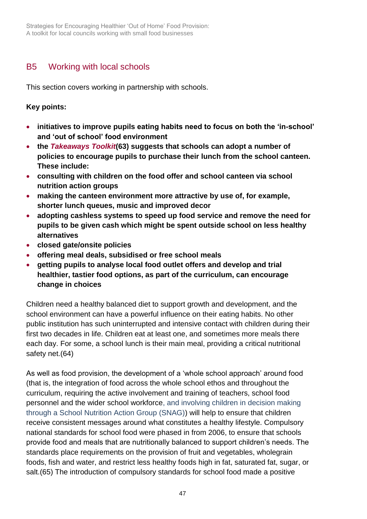Strategies for Encouraging Healthier 'Out of Home' Food Provision: A toolkit for local councils working with small food businesses

## <span id="page-46-0"></span>B5 Working with local schools

This section covers working in partnership with schools.

#### **Key points:**

- **initiatives to improve pupils eating habits need to focus on both the 'in-school' and 'out of school' food environment**
- **the** *[Takeaways Toolkit](http://www.cieh.org/policy/takeaways_toolkit.html)***(63) suggests that schools can adopt a number of policies to encourage pupils to purchase their lunch from the school canteen. These include:**
- **consulting with children on the food offer and school canteen via school nutrition action groups**
- **making the canteen environment more attractive by use of, for example, shorter lunch queues, music and improved decor**
- **adopting cashless systems to speed up food service and remove the need for pupils to be given cash which might be spent outside school on less healthy alternatives**
- **closed gate/onsite policies**
- **offering meal deals, subsidised or free school meals**
- **getting pupils to analyse local food outlet offers and develop and trial healthier, tastier food options, as part of the curriculum, can encourage change in choices**

Children need a healthy balanced diet to support growth and development, and the school environment can have a powerful influence on their eating habits. No other public institution has such uninterrupted and intensive contact with children during their first two decades in life. Children eat at least one, and sometimes more meals there each day. For some, a school lunch is their main meal, providing a critical nutritional safety net.(64)

As well as food provision, the development of a 'whole school approach' around food (that is, the integration of food across the whole school ethos and throughout the curriculum, requiring the active involvement and training of teachers, school food personnel and the wider school workforce, and involving children in decision making through a School Nutrition Action Group (SNAG)) will help to ensure that children receive consistent messages around what constitutes a healthy lifestyle. Compulsory national standards for school food were phased in from 2006, to ensure that schools provide food and meals that are nutritionally balanced to support children's needs. The standards place requirements on the provision of fruit and vegetables, wholegrain foods, fish and water, and restrict less healthy foods high in fat, saturated fat, sugar, or salt.(65) The introduction of compulsory standards for school food made a positive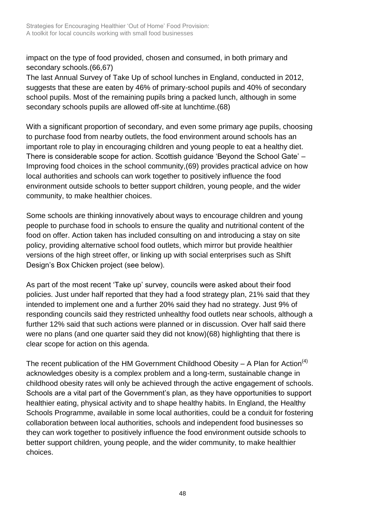impact on the type of food provided, chosen and consumed, in both primary and secondary schools.(66,67)

The last Annual Survey of Take Up of school lunches in England, conducted in 2012, suggests that these are eaten by 46% of primary-school pupils and 40% of secondary school pupils. Most of the remaining pupils bring a packed lunch, although in some secondary schools pupils are allowed off-site at lunchtime.(68)

With a significant proportion of secondary, and even some primary age pupils, choosing to purchase food from nearby outlets, the food environment around schools has an important role to play in encouraging children and young people to eat a healthy diet. There is considerable scope for action. Scottish guidance 'Beyond the School Gate' – Improving food choices in the school community,(69) provides practical advice on how local authorities and schools can work together to positively influence the food environment outside schools to better support children, young people, and the wider community, to make healthier choices.

Some schools are thinking innovatively about ways to encourage children and young people to purchase food in schools to ensure the quality and nutritional content of the food on offer. Action taken has included consulting on and introducing a stay on site policy, providing alternative school food outlets, which mirror but provide healthier versions of the high street offer, or linking up with social enterprises such as Shift Design's Box Chicken project (see below).

As part of the most recent 'Take up' survey, councils were asked about their food policies. Just under half reported that they had a food strategy plan, 21% said that they intended to implement one and a further 20% said they had no strategy. Just 9% of responding councils said they restricted unhealthy food outlets near schools, although a further 12% said that such actions were planned or in discussion. Over half said there were no plans (and one quarter said they did not know)(68) highlighting that there is clear scope for action on this agenda.

The recent publication of the HM Government Childhood Obesity – A Plan for Action<sup>(4)</sup> acknowledges obesity is a complex problem and a long-term, sustainable change in childhood obesity rates will only be achieved through the active engagement of schools. Schools are a vital part of the Government's plan, as they have opportunities to support healthier eating, physical activity and to shape healthy habits. In England, the Healthy Schools Programme, available in some local authorities, could be a conduit for fostering collaboration between local authorities, schools and independent food businesses so they can work together to positively influence the food environment outside schools to better support children, young people, and the wider community, to make healthier choices.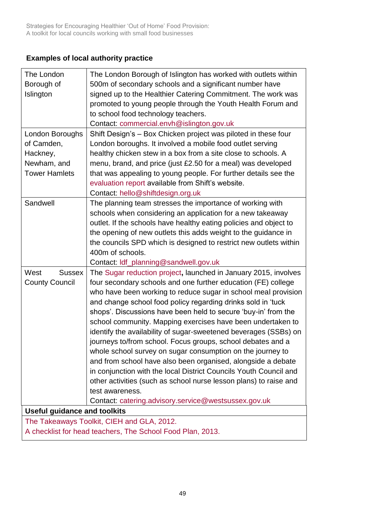## **Examples of local authority practice**

| The London                                 | The London Borough of Islington has worked with outlets within    |  |  |  |
|--------------------------------------------|-------------------------------------------------------------------|--|--|--|
| Borough of                                 | 500m of secondary schools and a significant number have           |  |  |  |
| Islington                                  | signed up to the Healthier Catering Commitment. The work was      |  |  |  |
|                                            | promoted to young people through the Youth Health Forum and       |  |  |  |
|                                            | to school food technology teachers.                               |  |  |  |
|                                            | Contact: commercial.envh@islington.gov.uk                         |  |  |  |
| London Boroughs                            | Shift Design's - Box Chicken project was piloted in these four    |  |  |  |
| of Camden,                                 | London boroughs. It involved a mobile food outlet serving         |  |  |  |
| Hackney,                                   | healthy chicken stew in a box from a site close to schools. A     |  |  |  |
| Newham, and                                | menu, brand, and price (just £2.50 for a meal) was developed      |  |  |  |
| <b>Tower Hamlets</b>                       | that was appealing to young people. For further details see the   |  |  |  |
|                                            | evaluation report available from Shift's website.                 |  |  |  |
|                                            | Contact: hello@shiftdesign.org.uk                                 |  |  |  |
| Sandwell                                   | The planning team stresses the importance of working with         |  |  |  |
|                                            | schools when considering an application for a new takeaway        |  |  |  |
|                                            | outlet. If the schools have healthy eating policies and object to |  |  |  |
|                                            | the opening of new outlets this adds weight to the guidance in    |  |  |  |
|                                            | the councils SPD which is designed to restrict new outlets within |  |  |  |
|                                            | 400m of schools.                                                  |  |  |  |
|                                            | Contact: ldf_planning@sandwell.gov.uk                             |  |  |  |
| West<br><b>Sussex</b>                      | The Sugar reduction project, launched in January 2015, involves   |  |  |  |
| <b>County Council</b>                      | four secondary schools and one further education (FE) college     |  |  |  |
|                                            | who have been working to reduce sugar in school meal provision    |  |  |  |
|                                            | and change school food policy regarding drinks sold in 'tuck      |  |  |  |
|                                            | shops'. Discussions have been held to secure 'buy-in' from the    |  |  |  |
|                                            | school community. Mapping exercises have been undertaken to       |  |  |  |
|                                            | identify the availability of sugar-sweetened beverages (SSBs) on  |  |  |  |
|                                            | journeys to/from school. Focus groups, school debates and a       |  |  |  |
|                                            | whole school survey on sugar consumption on the journey to        |  |  |  |
|                                            | and from school have also been organised, alongside a debate      |  |  |  |
|                                            | in conjunction with the local District Councils Youth Council and |  |  |  |
|                                            | other activities (such as school nurse lesson plans) to raise and |  |  |  |
|                                            | test awareness.                                                   |  |  |  |
|                                            | Contact: catering.advisory.service@westsussex.gov.uk              |  |  |  |
| <b>Useful guidance and toolkits</b>        |                                                                   |  |  |  |
| The Takeaways Toolkit, CIEH and GLA, 2012. |                                                                   |  |  |  |
|                                            |                                                                   |  |  |  |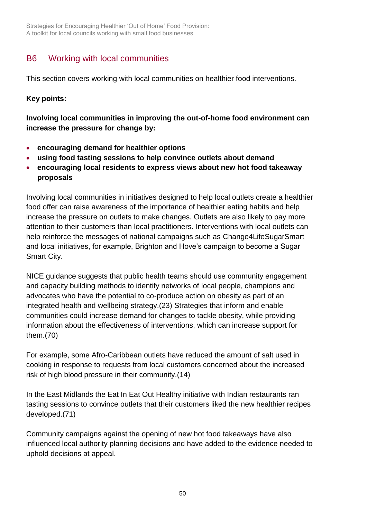Strategies for Encouraging Healthier 'Out of Home' Food Provision: A toolkit for local councils working with small food businesses

## <span id="page-49-0"></span>B6 Working with local communities

This section covers working with local communities on healthier food interventions.

#### **Key points:**

**Involving local communities in improving the out-of-home food environment can increase the pressure for change by:**

- **encouraging demand for healthier options**
- **using food tasting sessions to help convince outlets about demand**
- **encouraging local residents to express views about new hot food takeaway proposals**

Involving local communities in initiatives designed to help local outlets create a healthier food offer can raise awareness of the importance of healthier eating habits and help increase the pressure on outlets to make changes. Outlets are also likely to pay more attention to their customers than local practitioners. Interventions with local outlets can help reinforce the messages of national campaigns such as [Change4LifeSugarSmart](https://www.nhs.uk/change4life-beta/campaigns/sugar-smart/home) and local initiatives, for example, Brighton and Hove's campaign to become a Sugar Smart City.

NICE guidance suggests that public health teams should use community engagement and capacity building methods to identify networks of local people, champions and advocates who have the potential to co-produce action on obesity as part of an integrated health and wellbeing strategy.(23) Strategies that inform and enable communities could increase demand for changes to tackle obesity, while providing information about the effectiveness of interventions, which can increase support for them.(70)

For example, some Afro-Caribbean outlets have reduced the amount of salt used in cooking in response to requests from local customers concerned about the increased risk of high blood pressure in their community.(14)

In the East Midlands the Eat In Eat Out Healthy initiative with Indian restaurants ran tasting sessions to convince outlets that their customers liked the new healthier recipes developed.(71)

Community campaigns against the opening of new hot food takeaways have also influenced local authority planning decisions and have added to the evidence needed to uphold decisions at appeal.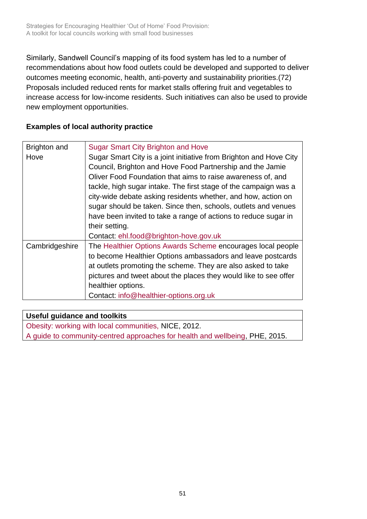Similarly, Sandwell Council's mapping of its food system has led to a number of recommendations about how food outlets could be developed and supported to deliver outcomes meeting economic, health, anti-poverty and sustainability priorities.(72) Proposals included reduced rents for market stalls offering fruit and vegetables to increase access for low-income residents. Such initiatives can also be used to provide new employment opportunities.

### **Examples of local authority practice**

| <b>Brighton and</b> | <b>Sugar Smart City Brighton and Hove</b>                          |
|---------------------|--------------------------------------------------------------------|
| Hove                | Sugar Smart City is a joint initiative from Brighton and Hove City |
|                     | Council, Brighton and Hove Food Partnership and the Jamie          |
|                     | Oliver Food Foundation that aims to raise awareness of, and        |
|                     | tackle, high sugar intake. The first stage of the campaign was a   |
|                     | city-wide debate asking residents whether, and how, action on      |
|                     | sugar should be taken. Since then, schools, outlets and venues     |
|                     | have been invited to take a range of actions to reduce sugar in    |
|                     | their setting.                                                     |
|                     | Contact: ehl.food@brighton-hove.gov.uk                             |
| Cambridgeshire      | The Healthier Options Awards Scheme encourages local people        |
|                     | to become Healthier Options ambassadors and leave postcards        |
|                     | at outlets promoting the scheme. They are also asked to take       |
|                     | pictures and tweet about the places they would like to see offer   |
|                     | healthier options.                                                 |
|                     | Contact: info@healthier-options.org.uk                             |

#### **Useful guidance and toolkits**

[Obesity: working with local communities, N](https://www.nice.org.uk/guidance/ph42)ICE, 2012.

A guide [to community-centred approaches for health and wellbeing,](https://www.gov.uk/government/publications/health-and-wellbeing-a-guide-to-community-centred-approaches) PHE, 2015.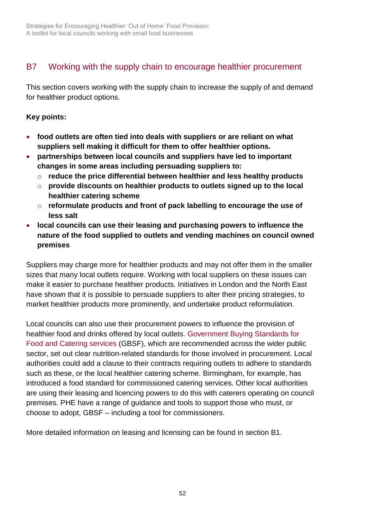# <span id="page-51-0"></span>B7 Working with the supply chain to encourage healthier procurement

This section covers working with the supply chain to increase the supply of and demand for healthier product options.

### **Key points:**

- **food outlets are often tied into deals with suppliers or are reliant on what suppliers sell making it difficult for them to offer healthier options.**
- **partnerships between local councils and suppliers have led to important changes in some areas including persuading suppliers to:** 
	- o **reduce the price differential between healthier and less healthy products**
	- o **provide discounts on healthier products to outlets signed up to the local healthier catering scheme**
	- o **reformulate products and front of pack labelling to encourage the use of less salt**
- **local councils can use their leasing and purchasing powers to influence the nature of the food supplied to outlets and vending machines on council owned premises**

Suppliers may charge more for healthier products and may not offer them in the smaller sizes that many local outlets require. Working with local suppliers on these issues can make it easier to purchase healthier products. Initiatives in London and the North East have shown that it is possible to persuade suppliers to alter their pricing strategies, to market healthier products more prominently, and undertake product reformulation.

Local councils can also use their procurement powers to influence the provision of healthier food and drinks offered by local outlets. [Government Buying Standards for](https://www.gov.uk/government/uploads/system/uploads/attachment_data/file/595129/Healthier_and_more_suistainable_GBSF_checklist.pdf)  [Food and Catering services](https://www.gov.uk/government/uploads/system/uploads/attachment_data/file/595129/Healthier_and_more_suistainable_GBSF_checklist.pdf) (GBSF), which are recommended across the wider public sector, set out clear nutrition-related standards for those involved in procurement. Local authorities could add a clause to their contracts requiring outlets to adhere to standards such as these, or the local healthier catering scheme. Birmingham, for example, has introduced a food standard for commissioned catering services. Other local authorities are using their leasing and licencing powers to do this with caterers operating on council premises. PHE have a range of guidance and tools to support those who must, or choose to adopt, GBSF – including a tool for commissioners.

More detailed information on leasing and licensing can be found in [section B1.](#page-32-1)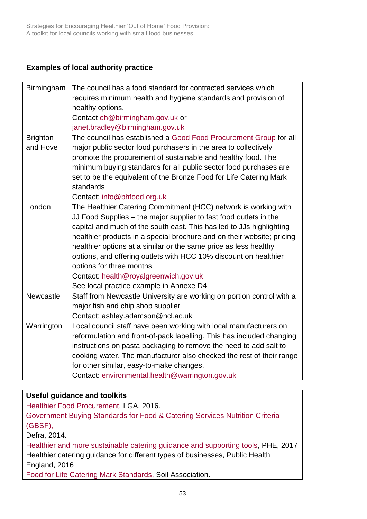### **Examples of local authority practice**

| Birmingham      | The council has a food standard for contracted services which          |  |  |  |  |
|-----------------|------------------------------------------------------------------------|--|--|--|--|
|                 | requires minimum health and hygiene standards and provision of         |  |  |  |  |
|                 | healthy options.                                                       |  |  |  |  |
|                 | Contact eh@birmingham.gov.uk or                                        |  |  |  |  |
|                 | janet.bradley@birmingham.gov.uk                                        |  |  |  |  |
| <b>Brighton</b> | The council has established a Good Food Procurement Group for all      |  |  |  |  |
| and Hove        | major public sector food purchasers in the area to collectively        |  |  |  |  |
|                 | promote the procurement of sustainable and healthy food. The           |  |  |  |  |
|                 | minimum buying standards for all public sector food purchases are      |  |  |  |  |
|                 | set to be the equivalent of the Bronze Food for Life Catering Mark     |  |  |  |  |
|                 | standards                                                              |  |  |  |  |
|                 | Contact: info@bhfood.org.uk                                            |  |  |  |  |
| London          | The Healthier Catering Commitment (HCC) network is working with        |  |  |  |  |
|                 | JJ Food Supplies – the major supplier to fast food outlets in the      |  |  |  |  |
|                 | capital and much of the south east. This has led to JJs highlighting   |  |  |  |  |
|                 | healthier products in a special brochure and on their website; pricing |  |  |  |  |
|                 | healthier options at a similar or the same price as less healthy       |  |  |  |  |
|                 | options, and offering outlets with HCC 10% discount on healthier       |  |  |  |  |
|                 | options for three months.                                              |  |  |  |  |
|                 | Contact: health@royalgreenwich.gov.uk                                  |  |  |  |  |
|                 | See local practice example in Annexe D4                                |  |  |  |  |
| Newcastle       | Staff from Newcastle University are working on portion control with a  |  |  |  |  |
|                 | major fish and chip shop supplier                                      |  |  |  |  |
|                 | Contact: ashley.adamson@ncl.ac.uk                                      |  |  |  |  |
| Warrington      | Local council staff have been working with local manufacturers on      |  |  |  |  |
|                 | reformulation and front-of-pack labelling. This has included changing  |  |  |  |  |
|                 | instructions on pasta packaging to remove the need to add salt to      |  |  |  |  |
|                 | cooking water. The manufacturer also checked the rest of their range   |  |  |  |  |
|                 | for other similar, easy-to-make changes.                               |  |  |  |  |
|                 | Contact: environmental.health@warrington.gov.uk                        |  |  |  |  |

#### **Useful guidance and toolkits**

[Healthier Food Procurement, L](http://www.local.gov.uk/publications/-/journal_content/56/10180/7931587/PUBLICATION)GA, 2016.

[Government Buying Standards for Food & Catering Services Nutrition Criteria](https://www.gov.uk/government/publications/sustainable-procurement-the-gbs-for-food-and-catering-services)  [\(GBSF\),](https://www.gov.uk/government/publications/sustainable-procurement-the-gbs-for-food-and-catering-services) 

Defra, 2014.

[Healthier and more sustainable catering guidance and supporting tools,](https://www.gov.uk/government/publications/healthier-and-more-sustainable-catering-a-toolkit-for-serving-food-to-adults) PHE, 2017 Healthier catering guidance for different types of businesses, Public Health England, 2016

[Food for Life Catering Mark Standards,](https://www.soilassociation.org/certification/the-food-for-life-catering-mark/) Soil Association.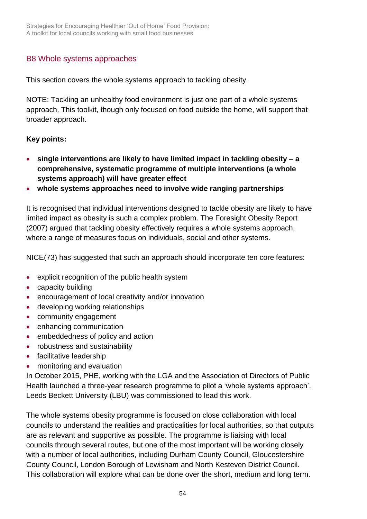## <span id="page-53-0"></span>B8 Whole systems approaches

This section covers the whole systems approach to tackling obesity.

NOTE: Tackling an unhealthy food environment is just one part of a whole systems approach. This toolkit, though only focused on food outside the home, will support that broader approach.

#### **Key points:**

- **single interventions are likely to have limited impact in tackling obesity – a comprehensive, systematic programme of multiple interventions (a whole systems approach) will have greater effect**
- **whole systems approaches need to involve wide ranging partnerships**

It is recognised that individual interventions designed to tackle obesity are likely to have limited impact as obesity is such a complex problem. The Foresight Obesity Report (2007) argued that tackling obesity effectively requires a whole systems approach, where a range of measures focus on individuals, social and other systems.

NICE(73) has suggested that such an approach should incorporate ten core features:

- explicit recognition of the public health system
- capacity building
- **•** encouragement of local creativity and/or innovation
- developing working relationships
- community engagement
- enhancing communication
- embeddedness of policy and action
- robustness and sustainability
- facilitative leadership
- monitoring and evaluation

In October 2015, PHE, working with the LGA and the Association of Directors of Public Health launched a three-year research programme to pilot a 'whole systems approach'. Leeds Beckett University (LBU) was commissioned to lead this work.

The whole systems obesity programme is focused on close collaboration with local councils to understand the realities and practicalities for local authorities, so that outputs are as relevant and supportive as possible. The programme is liaising with local councils through several routes, but one of the most important will be working closely with a number of local authorities, including Durham County Council, Gloucestershire County Council, London Borough of Lewisham and North Kesteven District Council. This collaboration will explore what can be done over the short, medium and long term.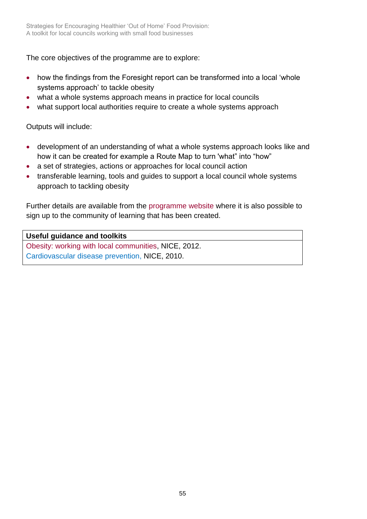The core objectives of the programme are to explore:

- how the findings from the Foresight report can be transformed into a local 'whole systems approach' to tackle obesity
- what a whole systems approach means in practice for local councils
- what support local authorities require to create a whole systems approach

Outputs will include:

- development of an understanding of what a whole systems approach looks like and how it can be created for example a Route Map to turn 'what" into "how"
- a set of strategies, actions or approaches for local council action
- transferable learning, tools and guides to support a local council whole systems approach to tackling obesity

Further details are available from the [programme website](http://www.leedsbeckett.ac.uk/wholesystemsobesity/) where it is also possible to sign up to the community of learning that has been created.

#### **Useful guidance and toolkits**

[Obesity: working with local communities,](https://www.nice.org.uk/guidance/ph42) NICE, 2012. [Cardiovascular disease prevention,](https://www.nice.org.uk/guidance/ph25) NICE, 2010.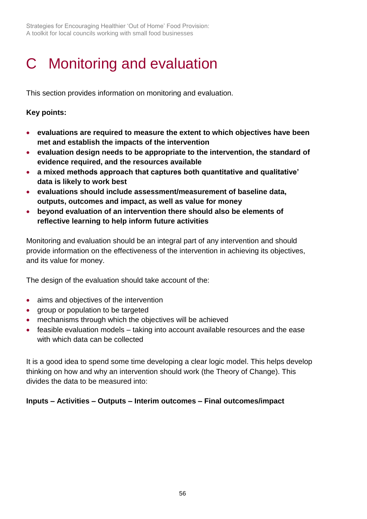Strategies for Encouraging Healthier 'Out of Home' Food Provision: A toolkit for local councils working with small food businesses

# <span id="page-55-0"></span>C Monitoring and evaluation

This section provides information on monitoring and evaluation.

#### **Key points:**

- **evaluations are required to measure the extent to which objectives have been met and establish the impacts of the intervention**
- **evaluation design needs to be appropriate to the intervention, the standard of evidence required, and the resources available**
- **a mixed methods approach that captures both quantitative and qualitative' data is likely to work best**
- **evaluations should include assessment/measurement of baseline data, outputs, outcomes and impact, as well as value for money**
- **beyond evaluation of an intervention there should also be elements of reflective learning to help inform future activities**

Monitoring and evaluation should be an integral part of any intervention and should provide information on the effectiveness of the intervention in achieving its objectives, and its value for money.

The design of the evaluation should take account of the:

- aims and objectives of the intervention
- group or population to be targeted
- mechanisms through which the objectives will be achieved
- feasible evaluation models taking into account available resources and the ease with which data can be collected

It is a good idea to spend some time developing a clear logic model. This helps develop thinking on how and why an intervention should work (the Theory of Change). This divides the data to be measured into:

## **Inputs – Activities – Outputs – Interim outcomes – Final outcomes/impact**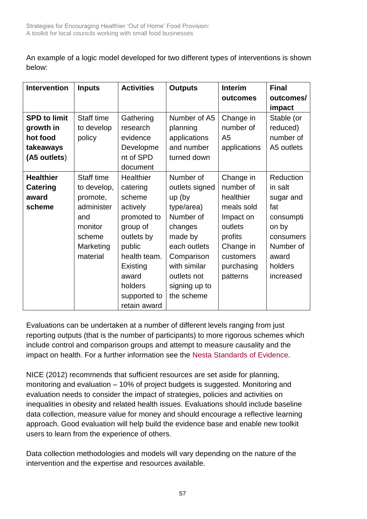An example of a logic model developed for two different types of interventions is shown below:

| <b>Intervention</b> | <b>Inputs</b> | <b>Activities</b> | <b>Outputs</b> | <b>Interim</b> | <b>Final</b> |
|---------------------|---------------|-------------------|----------------|----------------|--------------|
|                     |               |                   |                | outcomes       | outcomes/    |
|                     |               |                   |                |                | impact       |
| <b>SPD to limit</b> | Staff time    | Gathering         | Number of A5   | Change in      | Stable (or   |
| growth in           | to develop    | research          | planning       | number of      | reduced)     |
| hot food            | policy        | evidence          | applications   | A <sub>5</sub> | number of    |
| takeaways           |               | Developme         | and number     | applications   | A5 outlets   |
| (A5 outlets)        |               | nt of SPD         | turned down    |                |              |
|                     |               | document          |                |                |              |
| <b>Healthier</b>    | Staff time    | Healthier         | Number of      | Change in      | Reduction    |
| <b>Catering</b>     | to develop,   | catering          | outlets signed | number of      | in salt      |
| award               | promote,      | scheme            | $up$ (by       | healthier      | sugar and    |
| scheme              | administer    | actively          | type/area)     | meals sold     | fat          |
|                     | and           | promoted to       | Number of      | Impact on      | consumpti    |
|                     | monitor       | group of          | changes        | outlets        | on by        |
|                     | scheme        | outlets by        | made by        | profits        | consumers    |
|                     | Marketing     | public            | each outlets   | Change in      | Number of    |
|                     | material      | health team.      | Comparison     | customers      | award        |
|                     |               | Existing          | with similar   | purchasing     | holders      |
|                     |               | award             | outlets not    | patterns       | increased    |
|                     |               | holders           | signing up to  |                |              |
|                     |               | supported to      | the scheme     |                |              |
|                     |               | retain award      |                |                |              |

Evaluations can be undertaken at a number of different levels ranging from just reporting outputs (that is the number of participants) to more rigorous schemes which include control and comparison groups and attempt to measure causality and the impact on health. For a further information see the [Nesta Standards of Evidence.](http://www.nesta.org.uk/publications/nesta-standards-evidence)

NICE (2012) recommends that sufficient resources are set aside for planning, monitoring and evaluation – 10% of project budgets is suggested. Monitoring and evaluation needs to consider the impact of strategies, policies and activities on inequalities in obesity and related health issues. Evaluations should include baseline data collection, measure value for money and should encourage a reflective learning approach. Good evaluation will help build the evidence base and enable new toolkit users to learn from the experience of others.

Data collection methodologies and models will vary depending on the nature of the intervention and the expertise and resources available.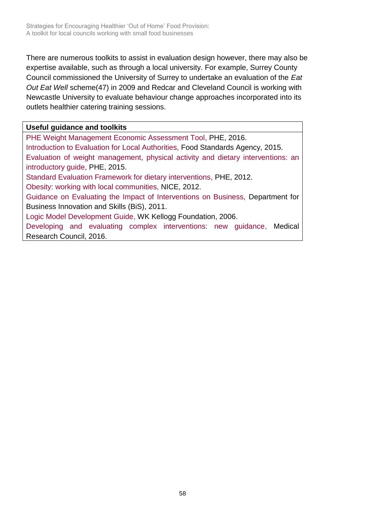There are numerous toolkits to assist in evaluation design however, there may also be expertise available, such as through a local university. For example, Surrey County Council commissioned the University of Surrey to undertake an evaluation of the *Eat Out Eat Well* scheme(47) in 2009 and Redcar and Cleveland Council is working with Newcastle University to evaluate behaviour change approaches incorporated into its outlets healthier catering training sessions.

#### **Useful guidance and toolkits**

[PHE Weight Management Economic Assessment Tool,](https://www.noo.org.uk/visualisation) PHE, 2016. [Introduction to Evaluation for Local Authorities,](https://www.food.gov.uk/enforcement/enforcetrainfund/local-authority-evaluation) Food Standards Agency, 2015. [Evaluation of weight management, physical activity and dietary interventions: an](http://www.noo.org.uk/core/eval_guidance)  [introductory guide,](http://www.noo.org.uk/core/eval_guidance) PHE, 2015.

[Standard Evaluation Framework for dietary interventions,](https://www.noo.org.uk/core/frameworks/SEF_Diet) PHE, 2012.

[Obesity: working with local communities, N](https://www.nice.org.uk/guidance/ph42)ICE, 2012.

[Guidance on Evaluating the Impact of Interventions on Business, D](https://www.gov.uk/government/publications/impact-evaluation-guidance-for-business)epartment for Business Innovation and Skills (BiS), 2011.

[Logic Model Development Guide,](https://www.wkkf.org/resource-directory/resource/2006/02/wk-kellogg-foundation-logic-model-development-guide) WK Kellogg Foundation, 2006.

[Developing and evaluating complex interventions: new guidance,](http://www.mrc.ac.uk/search-results/?keywords=Developing%20and%20evaluating%20complex%20interventions&page=1&perPage=10&sortBy=_score&sortDirection=desc&category=&selectedYear=&contenttype=§ion=) Medical Research Council, 2016.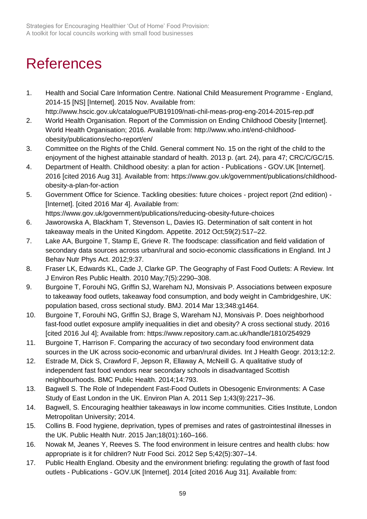# <span id="page-58-0"></span>**References**

- 1. Health and Social Care Information Centre. National Child Measurement Programme England, 2014-15 [NS] [Internet]. 2015 Nov. Available from: http://www.hscic.gov.uk/catalogue/PUB19109/nati-chil-meas-prog-eng-2014-2015-rep.pdf
- 2. World Health Organisation. Report of the Commission on Ending Childhood Obesity [Internet]. World Health Organisation; 2016. Available from: http://www.who.int/end-childhoodobesity/publications/echo-report/en/
- 3. Committee on the Rights of the Child. General comment No. 15 on the right of the child to the enjoyment of the highest attainable standard of health. 2013 p. (art. 24), para 47; CRC/C/GC/15.
- 4. Department of Health. Childhood obesity: a plan for action Publications GOV.UK [Internet]. 2016 [cited 2016 Aug 31]. Available from: https://www.gov.uk/government/publications/childhoodobesity-a-plan-for-action
- 5. Government Office for Science. Tackling obesities: future choices project report (2nd edition) [Internet]. [cited 2016 Mar 4]. Available from: https://www.gov.uk/government/publications/reducing-obesity-future-choices
- 6. Jaworowska A, Blackham T, Stevenson L, Davies IG. Determination of salt content in hot takeaway meals in the United Kingdom. Appetite. 2012 Oct;59(2):517–22.
- 7. Lake AA, Burgoine T, Stamp E, Grieve R. The foodscape: classification and field validation of secondary data sources across urban/rural and socio-economic classifications in England. Int J Behav Nutr Phys Act. 2012;9:37.
- 8. Fraser LK, Edwards KL, Cade J, Clarke GP. The Geography of Fast Food Outlets: A Review. Int J Environ Res Public Health. 2010 May;7(5):2290–308.
- 9. Burgoine T, Forouhi NG, Griffin SJ, Wareham NJ, Monsivais P. Associations between exposure to takeaway food outlets, takeaway food consumption, and body weight in Cambridgeshire, UK: population based, cross sectional study. BMJ. 2014 Mar 13;348:g1464.
- 10. Burgoine T, Forouhi NG, Griffin SJ, Brage S, Wareham NJ, Monsivais P. Does neighborhood fast-food outlet exposure amplify inequalities in diet and obesity? A cross sectional study. 2016 [cited 2016 Jul 4]; Available from: https://www.repository.cam.ac.uk/handle/1810/254929
- 11. Burgoine T, Harrison F. Comparing the accuracy of two secondary food environment data sources in the UK across socio-economic and urban/rural divides. Int J Health Geogr. 2013;12:2.
- 12. Estrade M, Dick S, Crawford F, Jepson R, Ellaway A, McNeill G. A qualitative study of independent fast food vendors near secondary schools in disadvantaged Scottish neighbourhoods. BMC Public Health. 2014;14:793.
- 13. Bagwell S. The Role of Independent Fast-Food Outlets in Obesogenic Environments: A Case Study of East London in the UK. Environ Plan A. 2011 Sep 1;43(9):2217–36.
- 14. Bagwell, S. Encouraging healthier takeaways in low income communities. Cities Institute, London Metropolitan University; 2014.
- 15. Collins B. Food hygiene, deprivation, types of premises and rates of gastrointestinal illnesses in the UK. Public Health Nutr. 2015 Jan;18(01):160–166.
- 16. Nowak M, Jeanes Y, Reeves S. The food environment in leisure centres and health clubs: how appropriate is it for children? Nutr Food Sci. 2012 Sep 5;42(5):307–14.
- 17. Public Health England. Obesity and the environment briefing: regulating the growth of fast food outlets - Publications - GOV.UK [Internet]. 2014 [cited 2016 Aug 31]. Available from: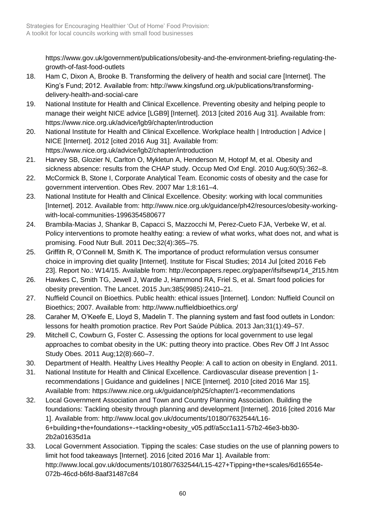https://www.gov.uk/government/publications/obesity-and-the-environment-briefing-regulating-thegrowth-of-fast-food-outlets

- 18. Ham C, Dixon A, Brooke B. Transforming the delivery of health and social care [Internet]. The King's Fund; 2012. Available from: http://www.kingsfund.org.uk/publications/transformingdelivery-health-and-social-care
- 19. National Institute for Health and Clinical Excellence. Preventing obesity and helping people to manage their weight NICE advice [LGB9] [Internet]. 2013 [cited 2016 Aug 31]. Available from: https://www.nice.org.uk/advice/lgb9/chapter/introduction
- 20. National Institute for Health and Clinical Excellence. Workplace health | Introduction | Advice | NICE [Internet]. 2012 [cited 2016 Aug 31]. Available from: https://www.nice.org.uk/advice/lgb2/chapter/introduction
- 21. Harvey SB, Glozier N, Carlton O, Mykletun A, Henderson M, Hotopf M, et al. Obesity and sickness absence: results from the CHAP study. Occup Med Oxf Engl. 2010 Aug;60(5):362–8.
- 22. McCormick B, Stone I, Corporate Analytical Team. Economic costs of obesity and the case for government intervention. Obes Rev. 2007 Mar 1;8:161–4.
- 23. National Institute for Health and Clinical Excellence. Obesity: working with local communities [Internet]. 2012. Available from: http://www.nice.org.uk/guidance/ph42/resources/obesity-workingwith-local-communities-1996354580677
- 24. Brambila-Macias J, Shankar B, Capacci S, Mazzocchi M, Perez-Cueto FJA, Verbeke W, et al. Policy interventions to promote healthy eating: a review of what works, what does not, and what is promising. Food Nutr Bull. 2011 Dec;32(4):365–75.
- 25. Griffith R, O'Connell M, Smith K. The importance of product reformulation versus consumer choice in improving diet quality [Internet]. Institute for Fiscal Studies; 2014 Jul [cited 2016 Feb 23]. Report No.: W14/15. Available from: http://econpapers.repec.org/paper/ifsifsewp/14\_2f15.htm
- 26. Hawkes C, Smith TG, Jewell J, Wardle J, Hammond RA, Friel S, et al. Smart food policies for obesity prevention. The Lancet. 2015 Jun;385(9985):2410–21.
- 27. Nuffield Council on Bioethics. Public health: ethical issues [Internet]. London: Nuffield Council on Bioethics; 2007. Available from: http://www.nuffieldbioethics.org/
- 28. Caraher M, O'Keefe E, Lloyd S, Madelin T. The planning system and fast food outlets in London: lessons for health promotion practice. Rev Port Saúde Pública. 2013 Jan;31(1):49–57.
- 29. Mitchell C, Cowburn G, Foster C. Assessing the options for local government to use legal approaches to combat obesity in the UK: putting theory into practice. Obes Rev Off J Int Assoc Study Obes. 2011 Aug;12(8):660–7.
- 30. Department of Health. Healthy Lives Healthy People: A call to action on obesity in England. 2011.
- 31. National Institute for Health and Clinical Excellence. Cardiovascular disease prevention | 1 recommendations | Guidance and guidelines | NICE [Internet]. 2010 [cited 2016 Mar 15]. Available from: https://www.nice.org.uk/guidance/ph25/chapter/1-recommendations
- 32. Local Government Association and Town and Country Planning Association. Building the foundations: Tackling obesity through planning and development [Internet]. 2016 [cited 2016 Mar 1]. Available from: http://www.local.gov.uk/documents/10180/7632544/L16- 6+building+the+foundations+-+tackling+obesity\_v05.pdf/a5cc1a11-57b2-46e3-bb30- 2b2a01635d1a
- 33. Local Government Association. Tipping the scales: Case studies on the use of planning powers to limit hot food takeaways [Internet]. 2016 [cited 2016 Mar 1]. Available from: http://www.local.gov.uk/documents/10180/7632544/L15-427+Tipping+the+scales/6d16554e-072b-46cd-b6fd-8aaf31487c84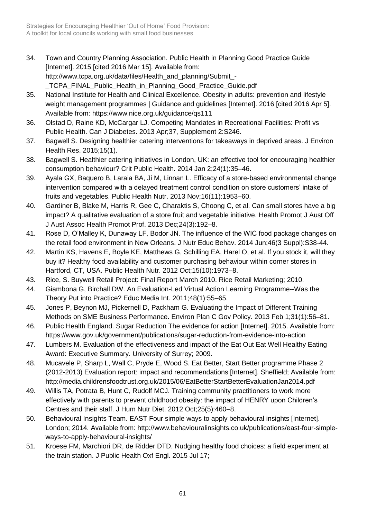- 34. Town and Country Planning Association. Public Health in Planning Good Practice Guide [Internet]. 2015 [cited 2016 Mar 15]. Available from: http://www.tcpa.org.uk/data/files/Health\_and\_planning/Submit\_- \_TCPA\_FINAL\_Public\_Health\_in\_Planning\_Good\_Practice\_Guide.pdf
- 35. National Institute for Health and Clinical Excellence. Obesity in adults: prevention and lifestyle weight management programmes | Guidance and guidelines [Internet]. 2016 [cited 2016 Apr 5]. Available from: https://www.nice.org.uk/guidance/qs111
- 36. Olstad D, Raine KD, McCargar LJ. Competing Mandates in Recreational Facilities: Profit vs Public Health. Can J Diabetes. 2013 Apr;37, Supplement 2:S246.
- 37. Bagwell S. Designing healthier catering interventions for takeaways in deprived areas. J Environ Health Res. 2015;15(1).
- 38. Bagwell S. Healthier catering initiatives in London, UK: an effective tool for encouraging healthier consumption behaviour? Crit Public Health. 2014 Jan 2;24(1):35–46.
- 39. Ayala GX, Baquero B, Laraia BA, Ji M, Linnan L. Efficacy of a store-based environmental change intervention compared with a delayed treatment control condition on store customers' intake of fruits and vegetables. Public Health Nutr. 2013 Nov;16(11):1953–60.
- 40. Gardiner B, Blake M, Harris R, Gee C, Charaktis S, Choong C, et al. Can small stores have a big impact? A qualitative evaluation of a store fruit and vegetable initiative. Health Promot J Aust Off J Aust Assoc Health Promot Prof. 2013 Dec;24(3):192–8.
- 41. Rose D, O'Malley K, Dunaway LF, Bodor JN. The influence of the WIC food package changes on the retail food environment in New Orleans. J Nutr Educ Behav. 2014 Jun;46(3 Suppl):S38-44.
- 42. Martin KS, Havens E, Boyle KE, Matthews G, Schilling EA, Harel O, et al. If you stock it, will they buy it? Healthy food availability and customer purchasing behaviour within corner stores in Hartford, CT, USA. Public Health Nutr. 2012 Oct;15(10):1973–8.
- 43. Rice, S. Buywell Retail Project: Final Report March 2010. Rice Retail Marketing; 2010.
- 44. Giambona G, Birchall DW. An Evaluation-Led Virtual Action Learning Programme--Was the Theory Put into Practice? Educ Media Int. 2011;48(1):55–65.
- 45. Jones P, Beynon MJ, Pickernell D, Packham G. Evaluating the Impact of Different Training Methods on SME Business Performance. Environ Plan C Gov Policy. 2013 Feb 1;31(1):56–81.
- 46. Public Health England. Sugar Reduction The evidence for action [Internet]. 2015. Available from: https://www.gov.uk/government/publications/sugar-reduction-from-evidence-into-action
- 47. Lumbers M. Evaluation of the effectiveness and impact of the Eat Out Eat Well Healthy Eating Award: Executive Summary. University of Surrey; 2009.
- 48. Mucavele P, Sharp L, Wall C, Pryde E, Wood S. Eat Better, Start Better programme Phase 2 (2012-2013) Evaluation report: impact and recommendations [Internet]. Sheffield; Available from: http://media.childrensfoodtrust.org.uk/2015/06/EatBetterStartBetterEvaluationJan2014.pdf
- 49. Willis TA, Potrata B, Hunt C, Rudolf MCJ. Training community practitioners to work more effectively with parents to prevent childhood obesity: the impact of HENRY upon Children's Centres and their staff. J Hum Nutr Diet. 2012 Oct;25(5):460–8.
- 50. Behavioural Insights Team. EAST Four simple ways to apply behavioural insights [Internet]. London; 2014. Available from: http://www.behaviouralinsights.co.uk/publications/east-four-simpleways-to-apply-behavioural-insights/
- 51. Kroese FM, Marchiori DR, de Ridder DTD. Nudging healthy food choices: a field experiment at the train station. J Public Health Oxf Engl. 2015 Jul 17;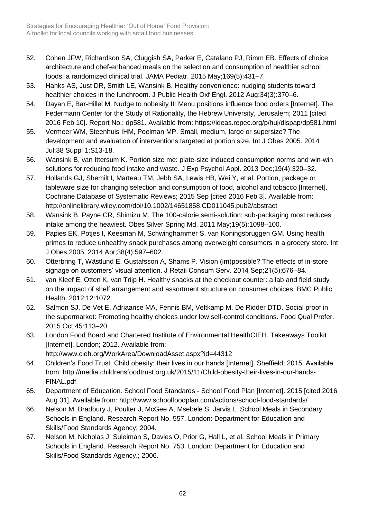- 52. Cohen JFW, Richardson SA, Cluggish SA, Parker E, Catalano PJ, Rimm EB. Effects of choice architecture and chef-enhanced meals on the selection and consumption of healthier school foods: a randomized clinical trial. JAMA Pediatr. 2015 May;169(5):431–7.
- 53. Hanks AS, Just DR, Smith LE, Wansink B. Healthy convenience: nudging students toward healthier choices in the lunchroom. J Public Health Oxf Engl. 2012 Aug;34(3):370–6.
- 54. Dayan E, Bar-Hillel M. Nudge to nobesity II: Menu positions influence food orders [Internet]. The Federmann Center for the Study of Rationality, the Hebrew University, Jerusalem; 2011 [cited 2016 Feb 10]. Report No.: dp581. Available from: https://ideas.repec.org/p/huj/dispap/dp581.html
- 55. Vermeer WM, Steenhuis IHM, Poelman MP. Small, medium, large or supersize? The development and evaluation of interventions targeted at portion size. Int J Obes 2005. 2014 Jul;38 Suppl 1:S13-18.
- 56. Wansink B, van Ittersum K. Portion size me: plate-size induced consumption norms and win-win solutions for reducing food intake and waste. J Exp Psychol Appl. 2013 Dec;19(4):320–32.
- 57. Hollands GJ, Shemilt I, Marteau TM, Jebb SA, Lewis HB, Wei Y, et al. Portion, package or tableware size for changing selection and consumption of food, alcohol and tobacco [Internet]. Cochrane Database of Systematic Reviews; 2015 Sep [cited 2016 Feb 3]. Available from: http://onlinelibrary.wiley.com/doi/10.1002/14651858.CD011045.pub2/abstract
- 58. Wansink B, Payne CR, Shimizu M. The 100-calorie semi-solution: sub-packaging most reduces intake among the heaviest. Obes Silver Spring Md. 2011 May;19(5):1098–100.
- 59. Papies EK, Potjes I, Keesman M, Schwinghammer S, van Koningsbruggen GM. Using health primes to reduce unhealthy snack purchases among overweight consumers in a grocery store. Int J Obes 2005. 2014 Apr;38(4):597–602.
- 60. Otterbring T, Wästlund E, Gustafsson A, Shams P. Vision (im)possible? The effects of in-store signage on customers' visual attention. J Retail Consum Serv. 2014 Sep;21(5):676–84.
- 61. van Kleef E, Otten K, van Trijp H. Healthy snacks at the checkout counter: a lab and field study on the impact of shelf arrangement and assortment structure on consumer choices. BMC Public Health. 2012;12:1072.
- 62. Salmon SJ, De Vet E, Adriaanse MA, Fennis BM, Veltkamp M, De Ridder DTD. Social proof in the supermarket: Promoting healthy choices under low self-control conditions. Food Qual Prefer. 2015 Oct;45:113–20.
- 63. London Food Board and Chartered Institute of Environmental HealthCIEH. Takeaways Toolkit [Internet]. London; 2012. Available from: http://www.cieh.org/WorkArea/DownloadAsset.aspx?id=44312
- 64. Children's Food Trust. Child obesity: their lives in our hands [Internet]. Sheffield; 2015. Available from: http://media.childrensfoodtrust.org.uk/2015/11/Child-obesity-their-lives-in-our-hands-FINAL.pdf
- 65. Department of Education. School Food Standards School Food Plan [Internet]. 2015 [cited 2016 Aug 31]. Available from: http://www.schoolfoodplan.com/actions/school-food-standards/
- 66. Nelson M, Bradbury J, Poulter J, McGee A, Msebele S, Jarvis L. School Meals in Secondary Schools in England. Research Report No. 557. London: Department for Education and Skills/Food Standards Agency; 2004.
- 67. Nelson M, Nicholas J, Suleiman S, Davies O, Prior G, Hall L, et al. School Meals in Primary Schools in England. Research Report No. 753. London: Department for Education and Skills/Food Standards Agency.; 2006.